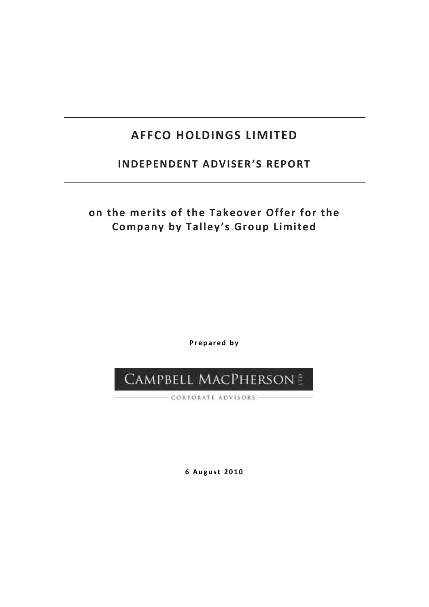# **AFFCO HOLDINGS LIMITED**

# **INDEPENDENT ADVISER'S REPORT**

# **on the merits of the Takeover Offer for the Company by Talley's Group Limited**

**P r e p a r e d b y** 

# CAMPBELL MACPHERSON &

- CORPORATE ADVISORS -

**6 A u g u s t 2 0 1 0**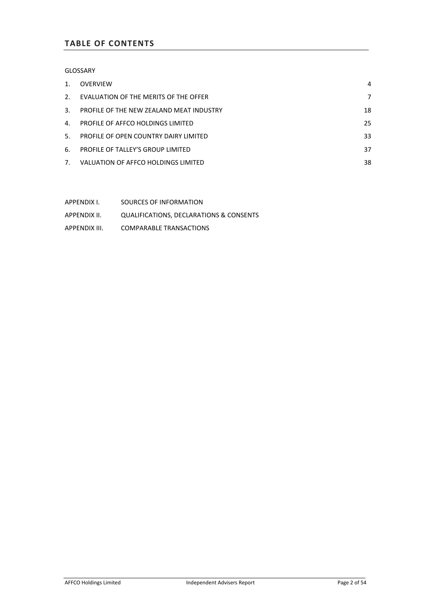# **TABLE OF CONTENTS**

GLOSSARY

| $1_{-}$        | OVERVIEW                                 | 4  |
|----------------|------------------------------------------|----|
| 2.             | EVALUATION OF THE MERITS OF THE OFFER    | 7  |
| $\mathcal{R}$  | PROFILE OF THE NEW ZEALAND MEAT INDUSTRY | 18 |
| $4_{-}$        | PROFILE OF AFFCO HOLDINGS LIMITED        | 25 |
| 5 <sup>1</sup> | PROFILE OF OPEN COUNTRY DAIRY LIMITED    | 33 |
| 6.             | PROFILE OF TALLEY'S GROUP LIMITED        | 37 |
|                | 7. VALUATION OF AFFCO HOLDINGS LIMITED   | 38 |

APPENDIX I. SOURCES OF INFORMATION APPENDIX II. QUALIFICATIONS, DECLARATIONS & CONSENTS APPENDIX III. COMPARABLE TRANSACTIONS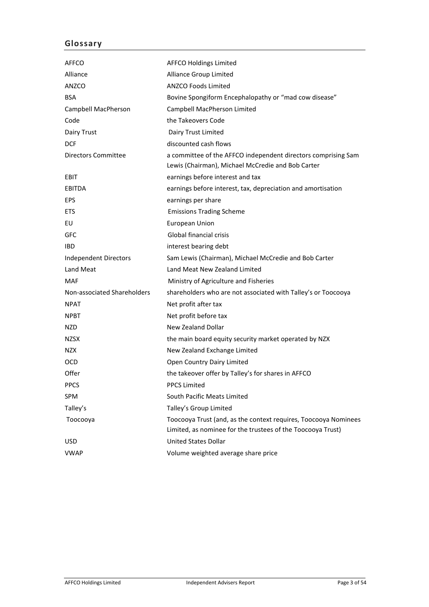# **Glossary**

| AFFCO                        | <b>AFFCO Holdings Limited</b>                                                                                                  |
|------------------------------|--------------------------------------------------------------------------------------------------------------------------------|
| Alliance                     | Alliance Group Limited                                                                                                         |
| <b>ANZCO</b>                 | <b>ANZCO Foods Limited</b>                                                                                                     |
| <b>BSA</b>                   | Bovine Spongiform Encephalopathy or "mad cow disease"                                                                          |
| Campbell MacPherson          | Campbell MacPherson Limited                                                                                                    |
| Code                         | the Takeovers Code                                                                                                             |
| Dairy Trust                  | Dairy Trust Limited                                                                                                            |
| <b>DCF</b>                   | discounted cash flows                                                                                                          |
| Directors Committee          | a committee of the AFFCO independent directors comprising Sam<br>Lewis (Chairman), Michael McCredie and Bob Carter             |
| EBIT                         | earnings before interest and tax                                                                                               |
| <b>EBITDA</b>                | earnings before interest, tax, depreciation and amortisation                                                                   |
| <b>EPS</b>                   | earnings per share                                                                                                             |
| <b>ETS</b>                   | <b>Emissions Trading Scheme</b>                                                                                                |
| EU                           | <b>European Union</b>                                                                                                          |
| <b>GFC</b>                   | Global financial crisis                                                                                                        |
| <b>IBD</b>                   | interest bearing debt                                                                                                          |
| <b>Independent Directors</b> | Sam Lewis (Chairman), Michael McCredie and Bob Carter                                                                          |
| Land Meat                    | Land Meat New Zealand Limited                                                                                                  |
| <b>MAF</b>                   | Ministry of Agriculture and Fisheries                                                                                          |
| Non-associated Shareholders  | shareholders who are not associated with Talley's or Toocooya                                                                  |
| <b>NPAT</b>                  | Net profit after tax                                                                                                           |
| <b>NPBT</b>                  | Net profit before tax                                                                                                          |
| NZD.                         | <b>New Zealand Dollar</b>                                                                                                      |
| <b>NZSX</b>                  | the main board equity security market operated by NZX                                                                          |
| <b>NZX</b>                   | New Zealand Exchange Limited                                                                                                   |
| <b>OCD</b>                   | Open Country Dairy Limited                                                                                                     |
| Offer                        | the takeover offer by Talley's for shares in AFFCO                                                                             |
| <b>PPCS</b>                  | <b>PPCS Limited</b>                                                                                                            |
| SPM                          | South Pacific Meats Limited                                                                                                    |
| Talley's                     | Talley's Group Limited                                                                                                         |
| Тоосооуа                     | Toocooya Trust (and, as the context requires, Toocooya Nominees<br>Limited, as nominee for the trustees of the Toocooya Trust) |
| <b>USD</b>                   | <b>United States Dollar</b>                                                                                                    |
| <b>VWAP</b>                  | Volume weighted average share price                                                                                            |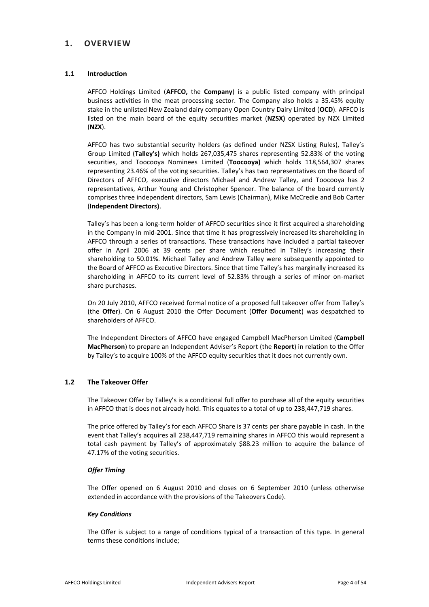# **1.1 Introduction**

AFFCO Holdings Limited (**AFFCO,** the **Company**) is a public listed company with principal business activities in the meat processing sector. The Company also holds a 35.45% equity stake in the unlisted New Zealand dairy company Open Country Dairy Limited (**OCD**). AFFCO is listed on the main board of the equity securities market (**NZSX)** operated by NZX Limited (**NZX**).

AFFCO has two substantial security holders (as defined under NZSX Listing Rules), Talley's Group Limited (**Talley's)** which holds 267,035,475 shares representing 52.83% of the voting securities, and Toocooya Nominees Limited (**Toocooya)** which holds 118,564,307 shares representing 23.46% of the voting securities. Talley's has two representatives on the Board of Directors of AFFCO, executive directors Michael and Andrew Talley, and Toocooya has 2 representatives, Arthur Young and Christopher Spencer. The balance of the board currently comprises three independent directors, Sam Lewis (Chairman), Mike McCredie and Bob Carter (**Independent Directors)**.

Talley's has been a long-term holder of AFFCO securities since it first acquired a shareholding in the Company in mid-2001. Since that time it has progressively increased its shareholding in AFFCO through a series of transactions. These transactions have included a partial takeover offer in April 2006 at 39 cents per share which resulted in Talley's increasing their shareholding to 50.01%. Michael Talley and Andrew Talley were subsequently appointed to the Board of AFFCO as Executive Directors. Since that time Talley's has marginally increased its shareholding in AFFCO to its current level of 52.83% through a series of minor on-market share purchases.

On 20 July 2010, AFFCO received formal notice of a proposed full takeover offer from Talley's (the **Offer**). On 6 August 2010 the Offer Document (**Offer Document**) was despatched to shareholders of AFFCO.

The Independent Directors of AFFCO have engaged Campbell MacPherson Limited (**Campbell MacPherson**) to prepare an Independent Adviser's Report (the **Report**) in relation to the Offer by Talley's to acquire 100% of the AFFCO equity securities that it does not currently own.

# **1.2 The Takeover Offer**

The Takeover Offer by Talley's is a conditional full offer to purchase all of the equity securities in AFFCO that is does not already hold. This equates to a total of up to 238,447,719 shares.

The price offered by Talley's for each AFFCO Share is 37 cents per share payable in cash. In the event that Talley's acquires all 238,447,719 remaining shares in AFFCO this would represent a total cash payment by Talley's of approximately \$88.23 million to acquire the balance of 47.17% of the voting securities.

# *Offer Timing*

The Offer opened on 6 August 2010 and closes on 6 September 2010 (unless otherwise extended in accordance with the provisions of the Takeovers Code).

# *Key Conditions*

The Offer is subject to a range of conditions typical of a transaction of this type. In general terms these conditions include;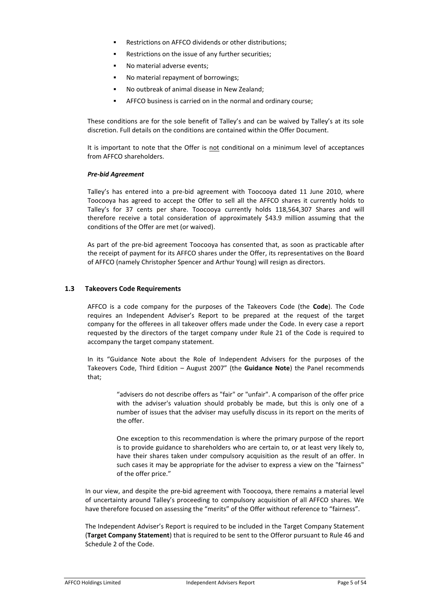- Restrictions on AFFCO dividends or other distributions;
- Restrictions on the issue of any further securities;
- No material adverse events;
- No material repayment of borrowings;
- No outbreak of animal disease in New Zealand;
- ! AFFCO business is carried on in the normal and ordinary course;

These conditions are for the sole benefit of Talley's and can be waived by Talley's at its sole discretion. Full details on the conditions are contained within the Offer Document.

It is important to note that the Offer is not conditional on a minimum level of acceptances from AFFCO shareholders.

#### *Pre-bid Agreement*

Talley's has entered into a pre-bid agreement with Toocooya dated 11 June 2010, where Toocooya has agreed to accept the Offer to sell all the AFFCO shares it currently holds to Talley's for 37 cents per share. Toocooya currently holds 118,564,307 Shares and will therefore receive a total consideration of approximately \$43.9 million assuming that the conditions of the Offer are met (or waived).

As part of the pre-bid agreement Toocooya has consented that, as soon as practicable after the receipt of payment for its AFFCO shares under the Offer, its representatives on the Board of AFFCO (namely Christopher Spencer and Arthur Young) will resign as directors.

#### **1.3 Takeovers Code Requirements**

AFFCO is a code company for the purposes of the Takeovers Code (the **Code**). The Code requires an Independent Adviser's Report to be prepared at the request of the target company for the offerees in all takeover offers made under the Code. In every case a report requested by the directors of the target company under Rule 21 of the Code is required to accompany the target company statement.

In its "Guidance Note about the Role of Independent Advisers for the purposes of the Takeovers Code, Third Edition – August 2007" (the **Guidance Note**) the Panel recommends that;

> "advisers do not describe offers as "fair" or "unfair". A comparison of the offer price with the adviser's valuation should probably be made, but this is only one of a number of issues that the adviser may usefully discuss in its report on the merits of the offer.

> One exception to this recommendation is where the primary purpose of the report is to provide guidance to shareholders who are certain to, or at least very likely to, have their shares taken under compulsory acquisition as the result of an offer. In such cases it may be appropriate for the adviser to express a view on the "fairness" of the offer price."

In our view, and despite the pre-bid agreement with Toocooya, there remains a material level of uncertainty around Talley's proceeding to compulsory acquisition of all AFFCO shares. We have therefore focused on assessing the "merits" of the Offer without reference to "fairness".

The Independent Adviser's Report is required to be included in the Target Company Statement (**Target Company Statement**) that is required to be sent to the Offeror pursuant to Rule 46 and Schedule 2 of the Code.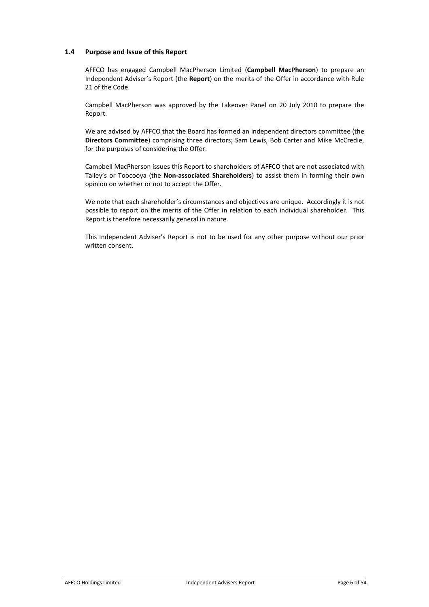# **1.4 Purpose and Issue of this Report**

AFFCO has engaged Campbell MacPherson Limited (**Campbell MacPherson**) to prepare an Independent Adviser's Report (the **Report**) on the merits of the Offer in accordance with Rule 21 of the Code.

Campbell MacPherson was approved by the Takeover Panel on 20 July 2010 to prepare the Report.

We are advised by AFFCO that the Board has formed an independent directors committee (the **Directors Committee**) comprising three directors; Sam Lewis, Bob Carter and Mike McCredie, for the purposes of considering the Offer.

Campbell MacPherson issues this Report to shareholders of AFFCO that are not associated with Talley's or Toocooya (the **Non-associated Shareholders**) to assist them in forming their own opinion on whether or not to accept the Offer.

We note that each shareholder's circumstances and objectives are unique. Accordingly it is not possible to report on the merits of the Offer in relation to each individual shareholder. This Report is therefore necessarily general in nature.

This Independent Adviser's Report is not to be used for any other purpose without our prior written consent.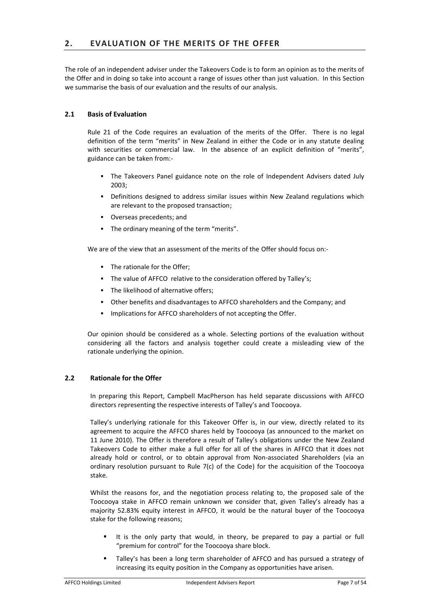The role of an independent adviser under the Takeovers Code is to form an opinion as to the merits of the Offer and in doing so take into account a range of issues other than just valuation. In this Section we summarise the basis of our evaluation and the results of our analysis.

# **2.1 Basis of Evaluation**

Rule 21 of the Code requires an evaluation of the merits of the Offer. There is no legal definition of the term "merits" in New Zealand in either the Code or in any statute dealing with securities or commercial law. In the absence of an explicit definition of "merits", guidance can be taken from:-

- ! The Takeovers Panel guidance note on the role of Independent Advisers dated July 2003;
- ! Definitions designed to address similar issues within New Zealand regulations which are relevant to the proposed transaction;
- ! Overseas precedents; and
- ! The ordinary meaning of the term "merits".

We are of the view that an assessment of the merits of the Offer should focus on:-

- ! The rationale for the Offer;
- ! The value of AFFCO relative to the consideration offered by Talley's;
- ! The likelihood of alternative offers;
- ! Other benefits and disadvantages to AFFCO shareholders and the Company; and
- Implications for AFFCO shareholders of not accepting the Offer.

Our opinion should be considered as a whole. Selecting portions of the evaluation without considering all the factors and analysis together could create a misleading view of the rationale underlying the opinion.

# **2.2 Rationale for the Offer**

In preparing this Report, Campbell MacPherson has held separate discussions with AFFCO directors representing the respective interests of Talley's and Toocooya.

Talley's underlying rationale for this Takeover Offer is, in our view, directly related to its agreement to acquire the AFFCO shares held by Toocooya (as announced to the market on 11 June 2010). The Offer is therefore a result of Talley's obligations under the New Zealand Takeovers Code to either make a full offer for all of the shares in AFFCO that it does not already hold or control, or to obtain approval from Non-associated Shareholders (via an ordinary resolution pursuant to Rule 7(c) of the Code) for the acquisition of the Toocooya stake.

Whilst the reasons for, and the negotiation process relating to, the proposed sale of the Toocooya stake in AFFCO remain unknown we consider that, given Talley's already has a majority 52.83% equity interest in AFFCO, it would be the natural buyer of the Toocooya stake for the following reasons;

- It is the only party that would, in theory, be prepared to pay a partial or full "premium for control" for the Toocooya share block.
- Talley's has been a long term shareholder of AFFCO and has pursued a strategy of increasing its equity position in the Company as opportunities have arisen.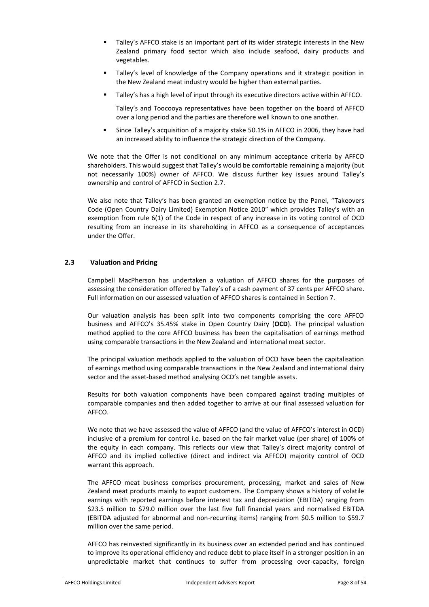- ! Talley's AFFCO stake is an important part of its wider strategic interests in the New Zealand primary food sector which also include seafood, dairy products and vegetables.
- Talley's level of knowledge of the Company operations and it strategic position in the New Zealand meat industry would be higher than external parties.
- ! Talley's has a high level of input through its executive directors active within AFFCO.

Talley's and Toocooya representatives have been together on the board of AFFCO over a long period and the parties are therefore well known to one another.

! Since Talley's acquisition of a majority stake 50.1% in AFFCO in 2006, they have had an increased ability to influence the strategic direction of the Company.

We note that the Offer is not conditional on any minimum acceptance criteria by AFFCO shareholders. This would suggest that Talley's would be comfortable remaining a majority (but not necessarily 100%) owner of AFFCO. We discuss further key issues around Talley's ownership and control of AFFCO in Section 2.7.

We also note that Talley's has been granted an exemption notice by the Panel, "Takeovers Code (Open Country Dairy Limited) Exemption Notice 2010" which provides Talley's with an exemption from rule 6(1) of the Code in respect of any increase in its voting control of OCD resulting from an increase in its shareholding in AFFCO as a consequence of acceptances under the Offer.

# **2.3 Valuation and Pricing**

Campbell MacPherson has undertaken a valuation of AFFCO shares for the purposes of assessing the consideration offered by Talley's of a cash payment of 37 cents per AFFCO share. Full information on our assessed valuation of AFFCO shares is contained in Section 7.

Our valuation analysis has been split into two components comprising the core AFFCO business and AFFCO's 35.45% stake in Open Country Dairy (**OCD**). The principal valuation method applied to the core AFFCO business has been the capitalisation of earnings method using comparable transactions in the New Zealand and international meat sector.

The principal valuation methods applied to the valuation of OCD have been the capitalisation of earnings method using comparable transactions in the New Zealand and international dairy sector and the asset-based method analysing OCD's net tangible assets.

Results for both valuation components have been compared against trading multiples of comparable companies and then added together to arrive at our final assessed valuation for AFFCO.

We note that we have assessed the value of AFFCO (and the value of AFFCO's interest in OCD) inclusive of a premium for control i.e. based on the fair market value (per share) of 100% of the equity in each company. This reflects our view that Talley's direct majority control of AFFCO and its implied collective (direct and indirect via AFFCO) majority control of OCD warrant this approach.

The AFFCO meat business comprises procurement, processing, market and sales of New Zealand meat products mainly to export customers. The Company shows a history of volatile earnings with reported earnings before interest tax and depreciation (EBITDA) ranging from \$23.5 million to \$79.0 million over the last five full financial years and normalised EBITDA (EBITDA adjusted for abnormal and non-recurring items) ranging from \$0.5 million to \$59.7 million over the same period.

AFFCO has reinvested significantly in its business over an extended period and has continued to improve its operational efficiency and reduce debt to place itself in a stronger position in an unpredictable market that continues to suffer from processing over-capacity, foreign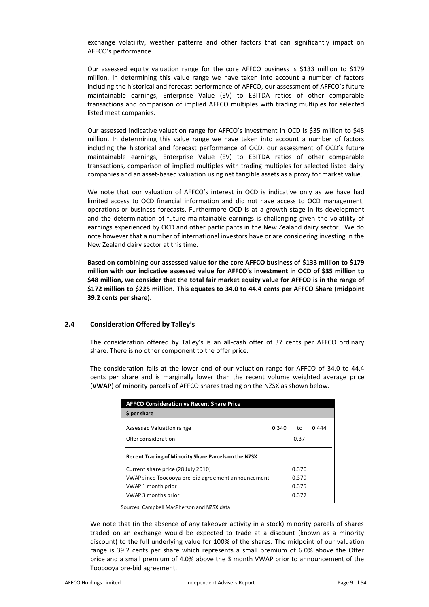exchange volatility, weather patterns and other factors that can significantly impact on AFFCO's performance.

Our assessed equity valuation range for the core AFFCO business is \$133 million to \$179 million. In determining this value range we have taken into account a number of factors including the historical and forecast performance of AFFCO, our assessment of AFFCO's future maintainable earnings, Enterprise Value (EV) to EBITDA ratios of other comparable transactions and comparison of implied AFFCO multiples with trading multiples for selected listed meat companies.

Our assessed indicative valuation range for AFFCO's investment in OCD is \$35 million to \$48 million. In determining this value range we have taken into account a number of factors including the historical and forecast performance of OCD, our assessment of OCD's future maintainable earnings, Enterprise Value (EV) to EBITDA ratios of other comparable transactions, comparison of implied multiples with trading multiples for selected listed dairy companies and an asset-based valuation using net tangible assets as a proxy for market value.

We note that our valuation of AFFCO's interest in OCD is indicative only as we have had limited access to OCD financial information and did not have access to OCD management, operations or business forecasts. Furthermore OCD is at a growth stage in its development and the determination of future maintainable earnings is challenging given the volatility of earnings experienced by OCD and other participants in the New Zealand dairy sector. We do note however that a number of international investors have or are considering investing in the New Zealand dairy sector at this time.

**Based on combining our assessed value for the core AFFCO business of \$133 million to \$179 million with our indicative assessed value for AFFCO's investment in OCD of \$35 million to \$48 million, we consider that the total fair market equity value for AFFCO is in the range of \$172 million to \$225 million. This equates to 34.0 to 44.4 cents per AFFCO Share (midpoint 39.2 cents per share).** 

# **2.4 Consideration Offered by Talley's**

The consideration offered by Talley's is an all-cash offer of 37 cents per AFFCO ordinary share. There is no other component to the offer price.

The consideration falls at the lower end of our valuation range for AFFCO of 34.0 to 44.4 cents per share and is marginally lower than the recent volume weighted average price (**VWAP**) of minority parcels of AFFCO shares trading on the NZSX as shown below.

| <b>AFFCO Consideration vs Recent Share Price</b>     |       |            |       |  |  |  |  |
|------------------------------------------------------|-------|------------|-------|--|--|--|--|
| \$ per share                                         |       |            |       |  |  |  |  |
| Assessed Valuation range<br>Offer consideration      | 0.340 | to<br>0.37 | 0.444 |  |  |  |  |
| Recent Trading of Minority Share Parcels on the NZSX |       |            |       |  |  |  |  |
| Current share price (28 July 2010)                   |       | 0.370      |       |  |  |  |  |
| VWAP since Toocooya pre-bid agreement announcement   |       | 0.379      |       |  |  |  |  |
| VWAP 1 month prior                                   |       | 0.375      |       |  |  |  |  |
| VWAP 3 months prior                                  |       | 0.377      |       |  |  |  |  |

Sources: Campbell MacPherson and NZSX data

We note that (in the absence of any takeover activity in a stock) minority parcels of shares traded on an exchange would be expected to trade at a discount (known as a minority discount) to the full underlying value for 100% of the shares. The midpoint of our valuation range is 39.2 cents per share which represents a small premium of 6.0% above the Offer price and a small premium of 4.0% above the 3 month VWAP prior to announcement of the Toocooya pre-bid agreement.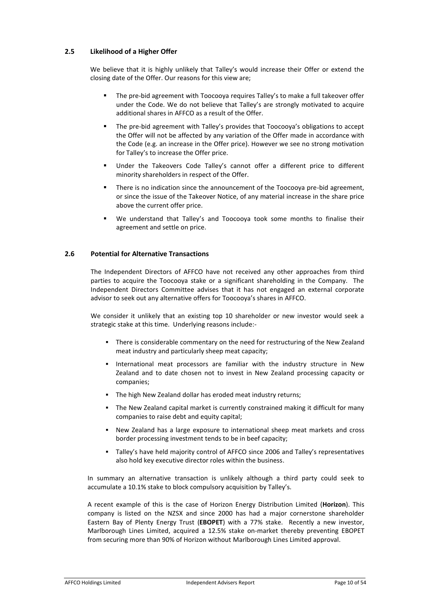# **2.5 Likelihood of a Higher Offer**

We believe that it is highly unlikely that Talley's would increase their Offer or extend the closing date of the Offer. Our reasons for this view are;

- ! The pre-bid agreement with Toocooya requires Talley's to make a full takeover offer under the Code. We do not believe that Talley's are strongly motivated to acquire additional shares in AFFCO as a result of the Offer.
- ! The pre-bid agreement with Talley's provides that Toocooya's obligations to accept the Offer will not be affected by any variation of the Offer made in accordance with the Code (e.g. an increase in the Offer price). However we see no strong motivation for Talley's to increase the Offer price.
- Under the Takeovers Code Talley's cannot offer a different price to different minority shareholders in respect of the Offer.
- ! There is no indication since the announcement of the Toocooya pre-bid agreement, or since the issue of the Takeover Notice, of any material increase in the share price above the current offer price.
- We understand that Talley's and Toocooya took some months to finalise their agreement and settle on price.

# **2.6 Potential for Alternative Transactions**

The Independent Directors of AFFCO have not received any other approaches from third parties to acquire the Toocooya stake or a significant shareholding in the Company. The Independent Directors Committee advises that it has not engaged an external corporate advisor to seek out any alternative offers for Toocooya's shares in AFFCO.

We consider it unlikely that an existing top 10 shareholder or new investor would seek a strategic stake at this time. Underlying reasons include:-

- ! There is considerable commentary on the need for restructuring of the New Zealand meat industry and particularly sheep meat capacity;
- ! International meat processors are familiar with the industry structure in New Zealand and to date chosen not to invest in New Zealand processing capacity or companies;
- " The high New Zealand dollar has eroded meat industry returns;
- ! The New Zealand capital market is currently constrained making it difficult for many companies to raise debt and equity capital;
- ! New Zealand has a large exposure to international sheep meat markets and cross border processing investment tends to be in beef capacity;
- ! Talley's have held majority control of AFFCO since 2006 and Talley's representatives also hold key executive director roles within the business.

In summary an alternative transaction is unlikely although a third party could seek to accumulate a 10.1% stake to block compulsory acquisition by Talley's.

A recent example of this is the case of Horizon Energy Distribution Limited (**Horizon**). This company is listed on the NZSX and since 2000 has had a major cornerstone shareholder Eastern Bay of Plenty Energy Trust (**EBOPET**) with a 77% stake. Recently a new investor, Marlborough Lines Limited, acquired a 12.5% stake on-market thereby preventing EBOPET from securing more than 90% of Horizon without Marlborough Lines Limited approval.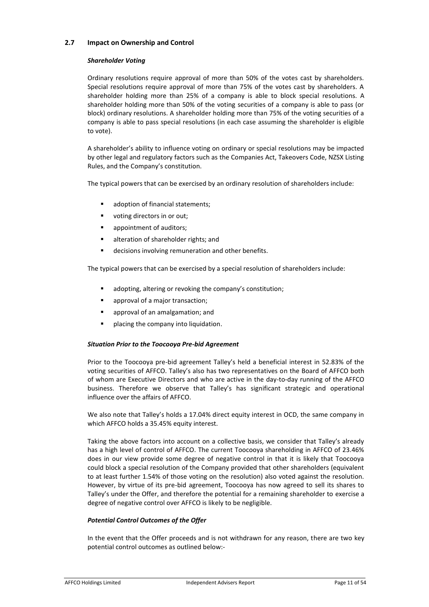# **2.7 Impact on Ownership and Control**

# *Shareholder Voting*

Ordinary resolutions require approval of more than 50% of the votes cast by shareholders. Special resolutions require approval of more than 75% of the votes cast by shareholders. A shareholder holding more than 25% of a company is able to block special resolutions. A shareholder holding more than 50% of the voting securities of a company is able to pass (or block) ordinary resolutions. A shareholder holding more than 75% of the voting securities of a company is able to pass special resolutions (in each case assuming the shareholder is eligible to vote).

A shareholder's ability to influence voting on ordinary or special resolutions may be impacted by other legal and regulatory factors such as the Companies Act, Takeovers Code, NZSX Listing Rules, and the Company's constitution.

The typical powers that can be exercised by an ordinary resolution of shareholders include:

- adoption of financial statements:
- ! voting directors in or out;
- appointment of auditors;
- alteration of shareholder rights; and
- ! decisions involving remuneration and other benefits.

The typical powers that can be exercised by a special resolution of shareholders include:

- adopting, altering or revoking the company's constitution;
- approval of a major transaction;
- approval of an amalgamation; and
- placing the company into liquidation.

# *Situation Prior to the Toocooya Pre-bid Agreement*

Prior to the Toocooya pre-bid agreement Talley's held a beneficial interest in 52.83% of the voting securities of AFFCO. Talley's also has two representatives on the Board of AFFCO both of whom are Executive Directors and who are active in the day-to-day running of the AFFCO business. Therefore we observe that Talley's has significant strategic and operational influence over the affairs of AFFCO.

We also note that Talley's holds a 17.04% direct equity interest in OCD, the same company in which AFFCO holds a 35.45% equity interest.

Taking the above factors into account on a collective basis, we consider that Talley's already has a high level of control of AFFCO. The current Toocooya shareholding in AFFCO of 23.46% does in our view provide some degree of negative control in that it is likely that Toocooya could block a special resolution of the Company provided that other shareholders (equivalent to at least further 1.54% of those voting on the resolution) also voted against the resolution. However, by virtue of its pre-bid agreement, Toocooya has now agreed to sell its shares to Talley's under the Offer, and therefore the potential for a remaining shareholder to exercise a degree of negative control over AFFCO is likely to be negligible.

# *Potential Control Outcomes of the Offer*

In the event that the Offer proceeds and is not withdrawn for any reason, there are two key potential control outcomes as outlined below:-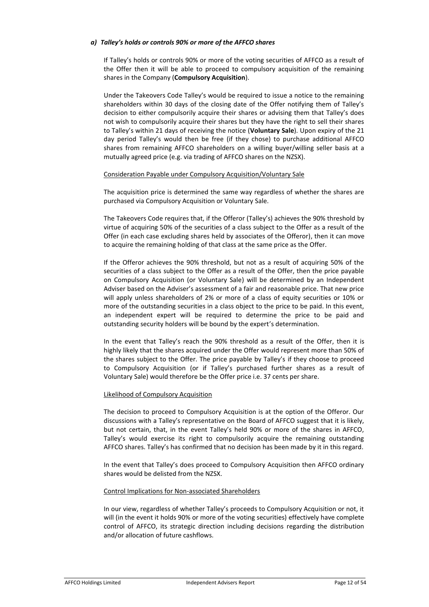# *a) Talley's holds or controls 90% or more of the AFFCO shares*

If Talley's holds or controls 90% or more of the voting securities of AFFCO as a result of the Offer then it will be able to proceed to compulsory acquisition of the remaining shares in the Company (**Compulsory Acquisition**).

Under the Takeovers Code Talley's would be required to issue a notice to the remaining shareholders within 30 days of the closing date of the Offer notifying them of Talley's decision to either compulsorily acquire their shares or advising them that Talley's does not wish to compulsorily acquire their shares but they have the right to sell their shares to Talley's within 21 days of receiving the notice (**Voluntary Sale**). Upon expiry of the 21 day period Talley's would then be free (if they chose) to purchase additional AFFCO shares from remaining AFFCO shareholders on a willing buyer/willing seller basis at a mutually agreed price (e.g. via trading of AFFCO shares on the NZSX).

# Consideration Payable under Compulsory Acquisition/Voluntary Sale

The acquisition price is determined the same way regardless of whether the shares are purchased via Compulsory Acquisition or Voluntary Sale.

The Takeovers Code requires that, if the Offeror (Talley's) achieves the 90% threshold by virtue of acquiring 50% of the securities of a class subject to the Offer as a result of the Offer (in each case excluding shares held by associates of the Offeror), then it can move to acquire the remaining holding of that class at the same price as the Offer.

If the Offeror achieves the 90% threshold, but not as a result of acquiring 50% of the securities of a class subject to the Offer as a result of the Offer, then the price payable on Compulsory Acquisition (or Voluntary Sale) will be determined by an Independent Adviser based on the Adviser's assessment of a fair and reasonable price. That new price will apply unless shareholders of 2% or more of a class of equity securities or 10% or more of the outstanding securities in a class object to the price to be paid. In this event, an independent expert will be required to determine the price to be paid and outstanding security holders will be bound by the expert's determination.

In the event that Talley's reach the 90% threshold as a result of the Offer, then it is highly likely that the shares acquired under the Offer would represent more than 50% of the shares subject to the Offer. The price payable by Talley's if they choose to proceed to Compulsory Acquisition (or if Talley's purchased further shares as a result of Voluntary Sale) would therefore be the Offer price i.e. 37 cents per share.

# Likelihood of Compulsory Acquisition

The decision to proceed to Compulsory Acquisition is at the option of the Offeror. Our discussions with a Talley's representative on the Board of AFFCO suggest that it is likely, but not certain, that, in the event Talley's held 90% or more of the shares in AFFCO, Talley's would exercise its right to compulsorily acquire the remaining outstanding AFFCO shares. Talley's has confirmed that no decision has been made by it in this regard.

In the event that Talley's does proceed to Compulsory Acquisition then AFFCO ordinary shares would be delisted from the NZSX.

# Control Implications for Non-associated Shareholders

In our view, regardless of whether Talley's proceeds to Compulsory Acquisition or not, it will (in the event it holds 90% or more of the voting securities) effectively have complete control of AFFCO, its strategic direction including decisions regarding the distribution and/or allocation of future cashflows.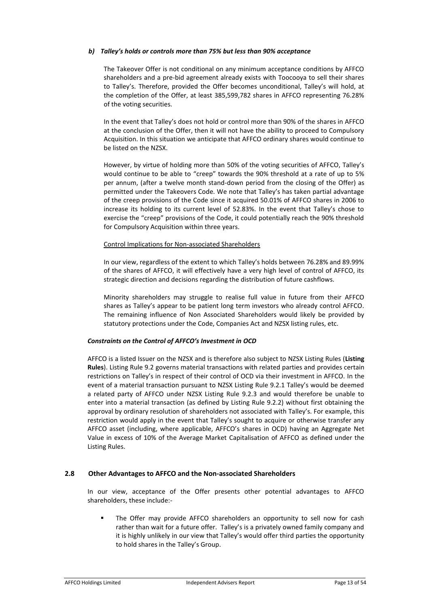# *b) Talley's holds or controls more than 75% but less than 90% acceptance*

The Takeover Offer is not conditional on any minimum acceptance conditions by AFFCO shareholders and a pre-bid agreement already exists with Toocooya to sell their shares to Talley's. Therefore, provided the Offer becomes unconditional, Talley's will hold, at the completion of the Offer, at least 385,599,782 shares in AFFCO representing 76.28% of the voting securities.

In the event that Talley's does not hold or control more than 90% of the shares in AFFCO at the conclusion of the Offer, then it will not have the ability to proceed to Compulsory Acquisition. In this situation we anticipate that AFFCO ordinary shares would continue to be listed on the NZSX.

However, by virtue of holding more than 50% of the voting securities of AFFCO, Talley's would continue to be able to "creep" towards the 90% threshold at a rate of up to 5% per annum, (after a twelve month stand-down period from the closing of the Offer) as permitted under the Takeovers Code. We note that Talley's has taken partial advantage of the creep provisions of the Code since it acquired 50.01% of AFFCO shares in 2006 to increase its holding to its current level of 52.83%. In the event that Talley's chose to exercise the "creep" provisions of the Code, it could potentially reach the 90% threshold for Compulsory Acquisition within three years.

# Control Implications for Non-associated Shareholders

In our view, regardless of the extent to which Talley's holds between 76.28% and 89.99% of the shares of AFFCO, it will effectively have a very high level of control of AFFCO, its strategic direction and decisions regarding the distribution of future cashflows.

Minority shareholders may struggle to realise full value in future from their AFFCO shares as Talley's appear to be patient long term investors who already control AFFCO. The remaining influence of Non Associated Shareholders would likely be provided by statutory protections under the Code, Companies Act and NZSX listing rules, etc.

# *Constraints on the Control of AFFCO's Investment in OCD*

AFFCO is a listed Issuer on the NZSX and is therefore also subject to NZSX Listing Rules (**Listing Rules**). Listing Rule 9.2 governs material transactions with related parties and provides certain restrictions on Talley's in respect of their control of OCD via their investment in AFFCO. In the event of a material transaction pursuant to NZSX Listing Rule 9.2.1 Talley's would be deemed a related party of AFFCO under NZSX Listing Rule 9.2.3 and would therefore be unable to enter into a material transaction (as defined by Listing Rule 9.2.2) without first obtaining the approval by ordinary resolution of shareholders not associated with Talley's. For example, this restriction would apply in the event that Talley's sought to acquire or otherwise transfer any AFFCO asset (including, where applicable, AFFCO's shares in OCD) having an Aggregate Net Value in excess of 10% of the Average Market Capitalisation of AFFCO as defined under the Listing Rules.

# **2.8 Other Advantages to AFFCO and the Non-associated Shareholders**

In our view, acceptance of the Offer presents other potential advantages to AFFCO shareholders, these include:-

The Offer may provide AFFCO shareholders an opportunity to sell now for cash rather than wait for a future offer. Talley's is a privately owned family company and it is highly unlikely in our view that Talley's would offer third parties the opportunity to hold shares in the Talley's Group.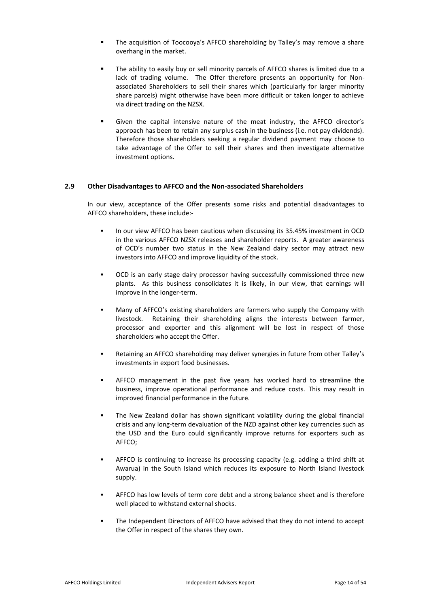- The acquisition of Toocooya's AFFCO shareholding by Talley's may remove a share overhang in the market.
- The ability to easily buy or sell minority parcels of AFFCO shares is limited due to a lack of trading volume. The Offer therefore presents an opportunity for Nonassociated Shareholders to sell their shares which (particularly for larger minority share parcels) might otherwise have been more difficult or taken longer to achieve via direct trading on the NZSX.
- Given the capital intensive nature of the meat industry, the AFFCO director's approach has been to retain any surplus cash in the business (i.e. not pay dividends). Therefore those shareholders seeking a regular dividend payment may choose to take advantage of the Offer to sell their shares and then investigate alternative investment options.

# **2.9 Other Disadvantages to AFFCO and the Non-associated Shareholders**

In our view, acceptance of the Offer presents some risks and potential disadvantages to AFFCO shareholders, these include:-

- In our view AFFCO has been cautious when discussing its 35.45% investment in OCD in the various AFFCO NZSX releases and shareholder reports. A greater awareness of OCD's number two status in the New Zealand dairy sector may attract new investors into AFFCO and improve liquidity of the stock.
- ! OCD is an early stage dairy processor having successfully commissioned three new plants. As this business consolidates it is likely, in our view, that earnings will improve in the longer-term.
- Many of AFFCO's existing shareholders are farmers who supply the Company with livestock. Retaining their shareholding aligns the interests between farmer, processor and exporter and this alignment will be lost in respect of those shareholders who accept the Offer.
- ! Retaining an AFFCO shareholding may deliver synergies in future from other Talley's investments in export food businesses.
- ! AFFCO management in the past five years has worked hard to streamline the business, improve operational performance and reduce costs. This may result in improved financial performance in the future.
- The New Zealand dollar has shown significant volatility during the global financial crisis and any long-term devaluation of the NZD against other key currencies such as the USD and the Euro could significantly improve returns for exporters such as AFFCO;
- AFFCO is continuing to increase its processing capacity (e.g. adding a third shift at Awarua) in the South Island which reduces its exposure to North Island livestock supply.
- ! AFFCO has low levels of term core debt and a strong balance sheet and is therefore well placed to withstand external shocks.
- ! The Independent Directors of AFFCO have advised that they do not intend to accept the Offer in respect of the shares they own.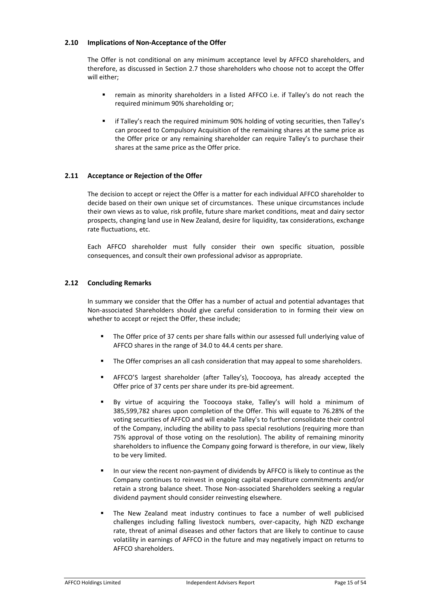# **2.10 Implications of Non-Acceptance of the Offer**

The Offer is not conditional on any minimum acceptance level by AFFCO shareholders, and therefore, as discussed in Section 2.7 those shareholders who choose not to accept the Offer will either;

- ! remain as minority shareholders in a listed AFFCO i.e. if Talley's do not reach the required minimum 90% shareholding or;
- ! if Talley's reach the required minimum 90% holding of voting securities, then Talley's can proceed to Compulsory Acquisition of the remaining shares at the same price as the Offer price or any remaining shareholder can require Talley's to purchase their shares at the same price as the Offer price.

# **2.11 Acceptance or Rejection of the Offer**

The decision to accept or reject the Offer is a matter for each individual AFFCO shareholder to decide based on their own unique set of circumstances. These unique circumstances include their own views as to value, risk profile, future share market conditions, meat and dairy sector prospects, changing land use in New Zealand, desire for liquidity, tax considerations, exchange rate fluctuations, etc.

Each AFFCO shareholder must fully consider their own specific situation, possible consequences, and consult their own professional advisor as appropriate.

# **2.12 Concluding Remarks**

In summary we consider that the Offer has a number of actual and potential advantages that Non-associated Shareholders should give careful consideration to in forming their view on whether to accept or reject the Offer, these include;

- The Offer price of 37 cents per share falls within our assessed full underlying value of AFFCO shares in the range of 34.0 to 44.4 cents per share.
- ! The Offer comprises an all cash consideration that may appeal to some shareholders.
- ! AFFCO'S largest shareholder (after Talley's), Toocooya, has already accepted the Offer price of 37 cents per share under its pre-bid agreement.
- ! By virtue of acquiring the Toocooya stake, Talley's will hold a minimum of 385,599,782 shares upon completion of the Offer. This will equate to 76.28% of the voting securities of AFFCO and will enable Talley's to further consolidate their control of the Company, including the ability to pass special resolutions (requiring more than 75% approval of those voting on the resolution). The ability of remaining minority shareholders to influence the Company going forward is therefore, in our view, likely to be very limited.
- In our view the recent non-payment of dividends by AFFCO is likely to continue as the Company continues to reinvest in ongoing capital expenditure commitments and/or retain a strong balance sheet. Those Non-associated Shareholders seeking a regular dividend payment should consider reinvesting elsewhere.
- The New Zealand meat industry continues to face a number of well publicised challenges including falling livestock numbers, over-capacity, high NZD exchange rate, threat of animal diseases and other factors that are likely to continue to cause volatility in earnings of AFFCO in the future and may negatively impact on returns to AFFCO shareholders.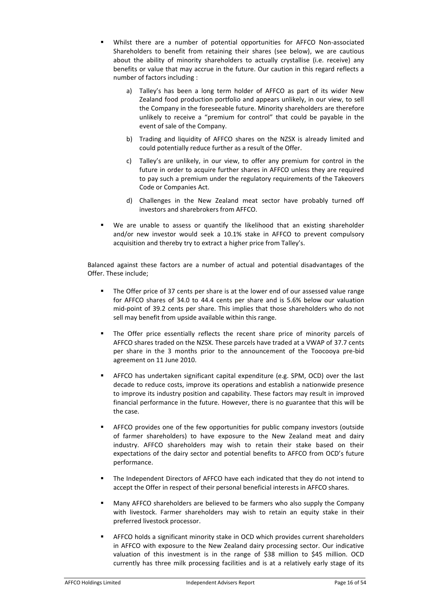- ! Whilst there are a number of potential opportunities for AFFCO Non-associated Shareholders to benefit from retaining their shares (see below), we are cautious about the ability of minority shareholders to actually crystallise (i.e. receive) any benefits or value that may accrue in the future. Our caution in this regard reflects a number of factors including :
	- a) Talley's has been a long term holder of AFFCO as part of its wider New Zealand food production portfolio and appears unlikely, in our view, to sell the Company in the foreseeable future. Minority shareholders are therefore unlikely to receive a "premium for control" that could be payable in the event of sale of the Company.
	- b) Trading and liquidity of AFFCO shares on the NZSX is already limited and could potentially reduce further as a result of the Offer.
	- c) Talley's are unlikely, in our view, to offer any premium for control in the future in order to acquire further shares in AFFCO unless they are required to pay such a premium under the regulatory requirements of the Takeovers Code or Companies Act.
	- d) Challenges in the New Zealand meat sector have probably turned off investors and sharebrokers from AFFCO.
- We are unable to assess or quantify the likelihood that an existing shareholder and/or new investor would seek a 10.1% stake in AFFCO to prevent compulsory acquisition and thereby try to extract a higher price from Talley's.

Balanced against these factors are a number of actual and potential disadvantages of the Offer. These include;

- The Offer price of 37 cents per share is at the lower end of our assessed value range for AFFCO shares of 34.0 to 44.4 cents per share and is 5.6% below our valuation mid-point of 39.2 cents per share. This implies that those shareholders who do not sell may benefit from upside available within this range.
- The Offer price essentially reflects the recent share price of minority parcels of AFFCO shares traded on the NZSX. These parcels have traded at a VWAP of 37.7 cents per share in the 3 months prior to the announcement of the Toocooya pre-bid agreement on 11 June 2010.
- ! AFFCO has undertaken significant capital expenditure (e.g. SPM, OCD) over the last decade to reduce costs, improve its operations and establish a nationwide presence to improve its industry position and capability. These factors may result in improved financial performance in the future. However, there is no guarantee that this will be the case.
- ! AFFCO provides one of the few opportunities for public company investors (outside of farmer shareholders) to have exposure to the New Zealand meat and dairy industry. AFFCO shareholders may wish to retain their stake based on their expectations of the dairy sector and potential benefits to AFFCO from OCD's future performance.
- ! The Independent Directors of AFFCO have each indicated that they do not intend to accept the Offer in respect of their personal beneficial interests in AFFCO shares.
- ! Many AFFCO shareholders are believed to be farmers who also supply the Company with livestock. Farmer shareholders may wish to retain an equity stake in their preferred livestock processor.
- AFFCO holds a significant minority stake in OCD which provides current shareholders in AFFCO with exposure to the New Zealand dairy processing sector. Our indicative valuation of this investment is in the range of \$38 million to \$45 million. OCD currently has three milk processing facilities and is at a relatively early stage of its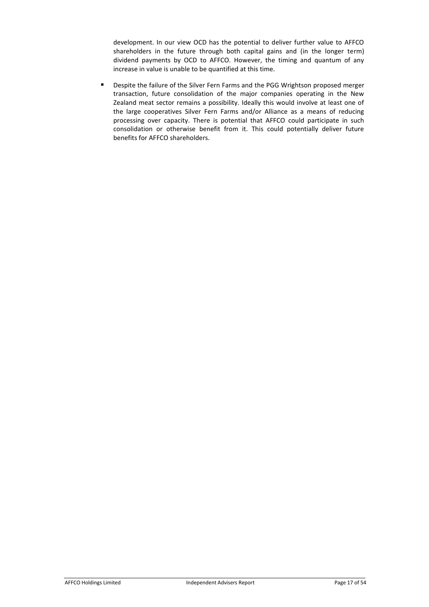development. In our view OCD has the potential to deliver further value to AFFCO shareholders in the future through both capital gains and (in the longer term) dividend payments by OCD to AFFCO. However, the timing and quantum of any increase in value is unable to be quantified at this time.

! Despite the failure of the Silver Fern Farms and the PGG Wrightson proposed merger transaction, future consolidation of the major companies operating in the New Zealand meat sector remains a possibility. Ideally this would involve at least one of the large cooperatives Silver Fern Farms and/or Alliance as a means of reducing processing over capacity. There is potential that AFFCO could participate in such consolidation or otherwise benefit from it. This could potentially deliver future benefits for AFFCO shareholders.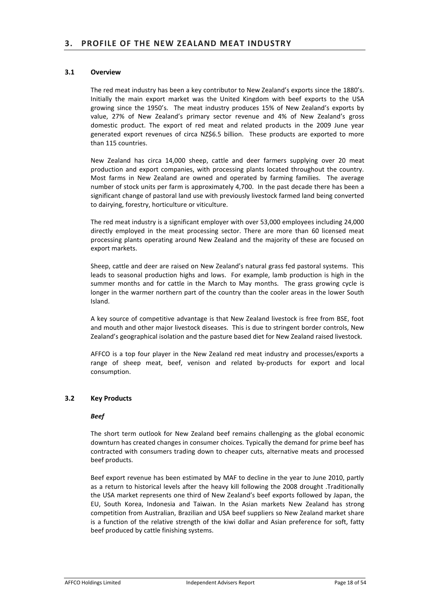# **3.1 Overview**

The red meat industry has been a key contributor to New Zealand's exports since the 1880's. Initially the main export market was the United Kingdom with beef exports to the USA growing since the 1950's. The meat industry produces 15% of New Zealand's exports by value, 27% of New Zealand's primary sector revenue and 4% of New Zealand's gross domestic product. The export of red meat and related products in the 2009 June year generated export revenues of circa NZ\$6.5 billion. These products are exported to more than 115 countries.

New Zealand has circa 14,000 sheep, cattle and deer farmers supplying over 20 meat production and export companies, with processing plants located throughout the country. Most farms in New Zealand are owned and operated by farming families. The average number of stock units per farm is approximately 4,700. In the past decade there has been a significant change of pastoral land use with previously livestock farmed land being converted to dairying, forestry, horticulture or viticulture.

The red meat industry is a significant employer with over 53,000 employees including 24,000 directly employed in the meat processing sector. There are more than 60 licensed meat processing plants operating around New Zealand and the majority of these are focused on export markets.

Sheep, cattle and deer are raised on New Zealand's natural grass fed pastoral systems. This leads to seasonal production highs and lows. For example, lamb production is high in the summer months and for cattle in the March to May months. The grass growing cycle is longer in the warmer northern part of the country than the cooler areas in the lower South Island.

A key source of competitive advantage is that New Zealand livestock is free from BSE, foot and mouth and other major livestock diseases. This is due to stringent border controls, New Zealand's geographical isolation and the pasture based diet for New Zealand raised livestock.

AFFCO is a top four player in the New Zealand red meat industry and processes/exports a range of sheep meat, beef, venison and related by-products for export and local consumption.

# **3.2 Key Products**

# *Beef*

The short term outlook for New Zealand beef remains challenging as the global economic downturn has created changes in consumer choices. Typically the demand for prime beef has contracted with consumers trading down to cheaper cuts, alternative meats and processed beef products.

Beef export revenue has been estimated by MAF to decline in the year to June 2010, partly as a return to historical levels after the heavy kill following the 2008 drought .Traditionally the USA market represents one third of New Zealand's beef exports followed by Japan, the EU, South Korea, Indonesia and Taiwan. In the Asian markets New Zealand has strong competition from Australian, Brazilian and USA beef suppliers so New Zealand market share is a function of the relative strength of the kiwi dollar and Asian preference for soft, fatty beef produced by cattle finishing systems.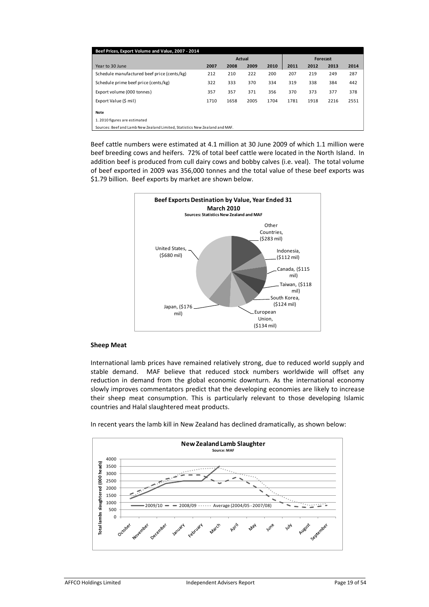| Beef Prices, Export Volume and Value, 2007 - 2014                           |      |        |      |      |      |          |      |      |
|-----------------------------------------------------------------------------|------|--------|------|------|------|----------|------|------|
|                                                                             |      | Actual |      |      |      | Forecast |      |      |
| Year to 30 June                                                             | 2007 | 2008   | 2009 | 2010 | 2011 | 2012     | 2013 | 2014 |
| Schedule manufactured beef price (cents/kg)                                 | 212  | 210    | 222  | 200  | 207  | 219      | 249  | 287  |
| Schedule prime beef price (cents/kg)                                        | 322  | 333    | 370  | 334  | 319  | 338      | 384  | 442  |
| Export volume (000 tonnes)                                                  | 357  | 357    | 371  | 356  | 370  | 373      | 377  | 378  |
| Export Value (\$ mil)                                                       | 1710 | 1658   | 2005 | 1704 | 1781 | 1918     | 2216 | 2551 |
| Note                                                                        |      |        |      |      |      |          |      |      |
| 1.2010 figures are estimated                                                |      |        |      |      |      |          |      |      |
| Sources: Beef and Lamb New Zealand Limited, Statistics New Zealand and MAF. |      |        |      |      |      |          |      |      |

Beef cattle numbers were estimated at 4.1 million at 30 June 2009 of which 1.1 million were beef breeding cows and heifers. 72% of total beef cattle were located in the North Island. In addition beef is produced from cull dairy cows and bobby calves (i.e. veal). The total volume of beef exported in 2009 was 356,000 tonnes and the total value of these beef exports was \$1.79 billion. Beef exports by market are shown below.



#### **Sheep Meat**

International lamb prices have remained relatively strong, due to reduced world supply and stable demand. MAF believe that reduced stock numbers worldwide will offset any reduction in demand from the global economic downturn. As the international economy slowly improves commentators predict that the developing economies are likely to increase their sheep meat consumption. This is particularly relevant to those developing Islamic countries and Halal slaughtered meat products.

In recent years the lamb kill in New Zealand has declined dramatically, as shown below:

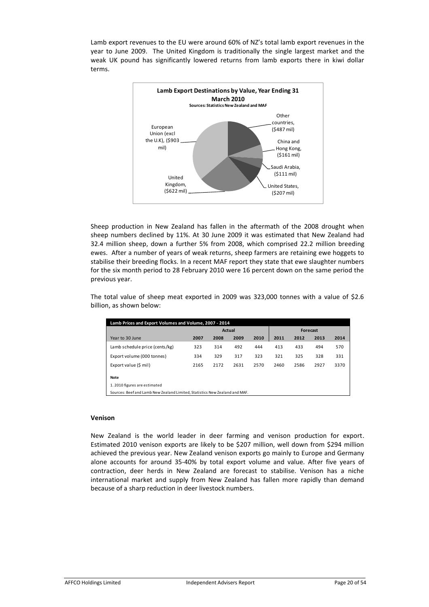Lamb export revenues to the EU were around 60% of NZ's total lamb export revenues in the year to June 2009. The United Kingdom is traditionally the single largest market and the weak UK pound has significantly lowered returns from lamb exports there in kiwi dollar terms.



Sheep production in New Zealand has fallen in the aftermath of the 2008 drought when sheep numbers declined by 11%. At 30 June 2009 it was estimated that New Zealand had 32.4 million sheep, down a further 5% from 2008, which comprised 22.2 million breeding ewes. After a number of years of weak returns, sheep farmers are retaining ewe hoggets to stabilise their breeding flocks. In a recent MAF report they state that ewe slaughter numbers for the six month period to 28 February 2010 were 16 percent down on the same period the previous year.

The total value of sheep meat exported in 2009 was 323,000 tonnes with a value of \$2.6 billion, as shown below:

| Lamb Prices and Export Volumes and Volume, 2007 - 2014 |                                                                             |               |      |      |      |          |      |      |  |
|--------------------------------------------------------|-----------------------------------------------------------------------------|---------------|------|------|------|----------|------|------|--|
|                                                        |                                                                             | <b>Actual</b> |      |      |      | Forecast |      |      |  |
| Year to 30 June                                        | 2007                                                                        | 2008          | 2009 | 2010 | 2011 | 2012     | 2013 | 2014 |  |
| Lamb schedule price (cents/kg)                         | 323                                                                         | 314           | 492  | 444  | 413  | 433      | 494  | 570  |  |
| Export volume (000 tonnes)                             | 334                                                                         | 329           | 317  | 323  | 321  | 325      | 328  | 331  |  |
| Export value (\$ mil)                                  | 2165                                                                        | 2172          | 2631 | 2570 | 2460 | 2586     | 2927 | 3370 |  |
| Note                                                   |                                                                             |               |      |      |      |          |      |      |  |
| 1.2010 figures are estimated                           |                                                                             |               |      |      |      |          |      |      |  |
|                                                        | Sources: Beef and Lamb New Zealand Limited, Statistics New Zealand and MAF. |               |      |      |      |          |      |      |  |

#### **Venison**

New Zealand is the world leader in deer farming and venison production for export. Estimated 2010 venison exports are likely to be \$207 million, well down from \$294 million achieved the previous year. New Zealand venison exports go mainly to Europe and Germany alone accounts for around 35-40% by total export volume and value. After five years of contraction, deer herds in New Zealand are forecast to stabilise. Venison has a niche international market and supply from New Zealand has fallen more rapidly than demand because of a sharp reduction in deer livestock numbers.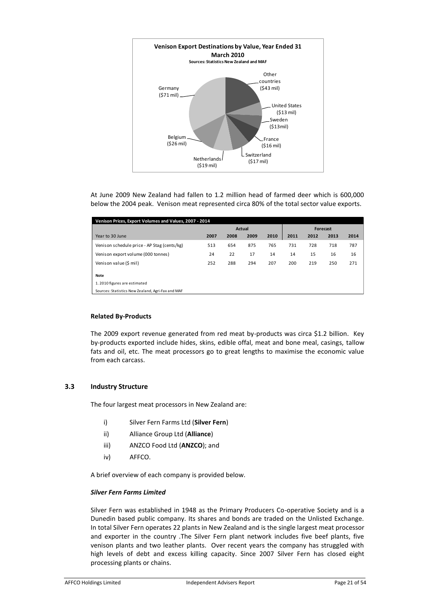

At June 2009 New Zealand had fallen to 1.2 million head of farmed deer which is 600,000 below the 2004 peak. Venison meat represented circa 80% of the total sector value exports.

| Venison Prices, Export Volumes and Values, 2007 - 2014 |               |      |      |      |          |      |      |      |
|--------------------------------------------------------|---------------|------|------|------|----------|------|------|------|
|                                                        | <b>Actual</b> |      |      |      | Forecast |      |      |      |
| Year to 30 June                                        | 2007          | 2008 | 2009 | 2010 | 2011     | 2012 | 2013 | 2014 |
| Venison schedule price - AP Stag (cents/kg)            | 513           | 654  | 875  | 765  | 731      | 728  | 718  | 787  |
| Venison export volume (000 tonnes)                     | 24            | 22   | 17   | 14   | 14       | 15   | 16   | 16   |
| Venison value (\$ mil)                                 | 252           | 288  | 294  | 207  | 200      | 219  | 250  | 271  |
| Note                                                   |               |      |      |      |          |      |      |      |
| 1.2010 figures are estimated                           |               |      |      |      |          |      |      |      |
| Sources: Statistics New Zealand, Agri-Fax and MAF      |               |      |      |      |          |      |      |      |

# **Related By-Products**

The 2009 export revenue generated from red meat by-products was circa \$1.2 billion. Key by-products exported include hides, skins, edible offal, meat and bone meal, casings, tallow fats and oil, etc. The meat processors go to great lengths to maximise the economic value from each carcass.

# **3.3 Industry Structure**

The four largest meat processors in New Zealand are:

- i) Silver Fern Farms Ltd (**Silver Fern**)
- ii) Alliance Group Ltd (**Alliance**)
- iii) ANZCO Food Ltd (**ANZCO**); and
- iv) AFFCO.

A brief overview of each company is provided below.

#### *Silver Fern Farms Limited*

Silver Fern was established in 1948 as the Primary Producers Co-operative Society and is a Dunedin based public company. Its shares and bonds are traded on the Unlisted Exchange. In total Silver Fern operates 22 plants in New Zealand and is the single largest meat processor and exporter in the country .The Silver Fern plant network includes five beef plants, five venison plants and two leather plants. Over recent years the company has struggled with high levels of debt and excess killing capacity. Since 2007 Silver Fern has closed eight processing plants or chains.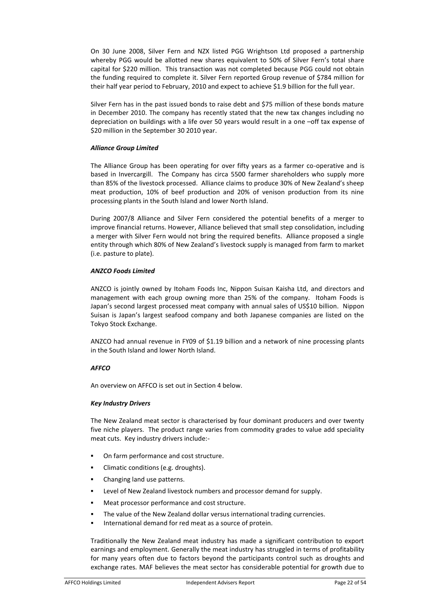On 30 June 2008, Silver Fern and NZX listed PGG Wrightson Ltd proposed a partnership whereby PGG would be allotted new shares equivalent to 50% of Silver Fern's total share capital for \$220 million. This transaction was not completed because PGG could not obtain the funding required to complete it. Silver Fern reported Group revenue of \$784 million for their half year period to February, 2010 and expect to achieve \$1.9 billion for the full year.

Silver Fern has in the past issued bonds to raise debt and \$75 million of these bonds mature in December 2010. The company has recently stated that the new tax changes including no depreciation on buildings with a life over 50 years would result in a one –off tax expense of \$20 million in the September 30 2010 year.

#### *Alliance Group Limited*

The Alliance Group has been operating for over fifty years as a farmer co-operative and is based in Invercargill. The Company has circa 5500 farmer shareholders who supply more than 85% of the livestock processed. Alliance claims to produce 30% of New Zealand's sheep meat production, 10% of beef production and 20% of venison production from its nine processing plants in the South Island and lower North Island.

During 2007/8 Alliance and Silver Fern considered the potential benefits of a merger to improve financial returns. However, Alliance believed that small step consolidation, including a merger with Silver Fern would not bring the required benefits. Alliance proposed a single entity through which 80% of New Zealand's livestock supply is managed from farm to market (i.e. pasture to plate).

#### *ANZCO Foods Limited*

ANZCO is jointly owned by Itoham Foods Inc, Nippon Suisan Kaisha Ltd, and directors and management with each group owning more than 25% of the company. Itoham Foods is Japan's second largest processed meat company with annual sales of US\$10 billion. Nippon Suisan is Japan's largest seafood company and both Japanese companies are listed on the Tokyo Stock Exchange.

ANZCO had annual revenue in FY09 of \$1.19 billion and a network of nine processing plants in the South Island and lower North Island.

# *AFFCO*

An overview on AFFCO is set out in Section 4 below.

# *Key Industry Drivers*

The New Zealand meat sector is characterised by four dominant producers and over twenty five niche players. The product range varies from commodity grades to value add speciality meat cuts. Key industry drivers include:-

- On farm performance and cost structure.
- Climatic conditions (e.g. droughts).
- Changing land use patterns.
- ! Level of New Zealand livestock numbers and processor demand for supply.
- Meat processor performance and cost structure.
- The value of the New Zealand dollar versus international trading currencies.
- International demand for red meat as a source of protein.

Traditionally the New Zealand meat industry has made a significant contribution to export earnings and employment. Generally the meat industry has struggled in terms of profitability for many years often due to factors beyond the participants control such as droughts and exchange rates. MAF believes the meat sector has considerable potential for growth due to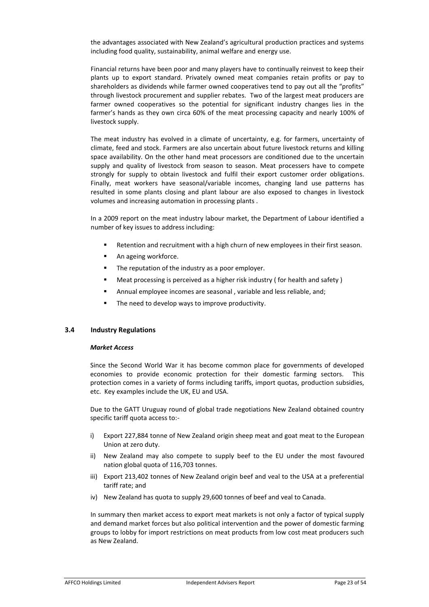the advantages associated with New Zealand's agricultural production practices and systems including food quality, sustainability, animal welfare and energy use.

Financial returns have been poor and many players have to continually reinvest to keep their plants up to export standard. Privately owned meat companies retain profits or pay to shareholders as dividends while farmer owned cooperatives tend to pay out all the "profits" through livestock procurement and supplier rebates. Two of the largest meat producers are farmer owned cooperatives so the potential for significant industry changes lies in the farmer's hands as they own circa 60% of the meat processing capacity and nearly 100% of livestock supply.

The meat industry has evolved in a climate of uncertainty, e.g. for farmers, uncertainty of climate, feed and stock. Farmers are also uncertain about future livestock returns and killing space availability. On the other hand meat processors are conditioned due to the uncertain supply and quality of livestock from season to season. Meat processers have to compete strongly for supply to obtain livestock and fulfil their export customer order obligations. Finally, meat workers have seasonal/variable incomes, changing land use patterns has resulted in some plants closing and plant labour are also exposed to changes in livestock volumes and increasing automation in processing plants .

In a 2009 report on the meat industry labour market, the Department of Labour identified a number of key issues to address including:

- ! Retention and recruitment with a high churn of new employees in their first season.
- **EXECUTE:** An ageing workforce.
- ! The reputation of the industry as a poor employer.
- ! Meat processing is perceived as a higher risk industry ( for health and safety )
- ! Annual employee incomes are seasonal , variable and less reliable, and;
- ! The need to develop ways to improve productivity.

# **3.4 Industry Regulations**

# *Market Access*

Since the Second World War it has become common place for governments of developed economies to provide economic protection for their domestic farming sectors. This protection comes in a variety of forms including tariffs, import quotas, production subsidies, etc. Key examples include the UK, EU and USA.

Due to the GATT Uruguay round of global trade negotiations New Zealand obtained country specific tariff quota access to:-

- i) Export 227,884 tonne of New Zealand origin sheep meat and goat meat to the European Union at zero duty.
- ii) New Zealand may also compete to supply beef to the EU under the most favoured nation global quota of 116,703 tonnes.
- iii) Export 213,402 tonnes of New Zealand origin beef and veal to the USA at a preferential tariff rate; and
- iv) New Zealand has quota to supply 29,600 tonnes of beef and veal to Canada.

In summary then market access to export meat markets is not only a factor of typical supply and demand market forces but also political intervention and the power of domestic farming groups to lobby for import restrictions on meat products from low cost meat producers such as New Zealand.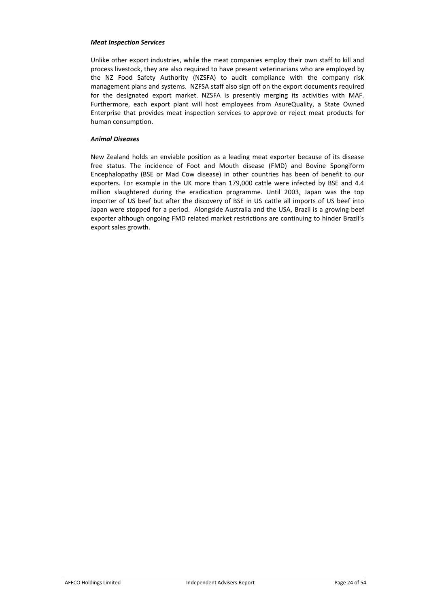#### *Meat Inspection Services*

Unlike other export industries, while the meat companies employ their own staff to kill and process livestock, they are also required to have present veterinarians who are employed by the NZ Food Safety Authority (NZSFA) to audit compliance with the company risk management plans and systems. NZFSA staff also sign off on the export documents required for the designated export market. NZSFA is presently merging its activities with MAF. Furthermore, each export plant will host employees from AsureQuality, a State Owned Enterprise that provides meat inspection services to approve or reject meat products for human consumption.

#### *Animal Diseases*

New Zealand holds an enviable position as a leading meat exporter because of its disease free status. The incidence of Foot and Mouth disease (FMD) and Bovine Spongiform Encephalopathy (BSE or Mad Cow disease) in other countries has been of benefit to our exporters. For example in the UK more than 179,000 cattle were infected by BSE and 4.4 million slaughtered during the eradication programme. Until 2003, Japan was the top importer of US beef but after the discovery of BSE in US cattle all imports of US beef into Japan were stopped for a period. Alongside Australia and the USA, Brazil is a growing beef exporter although ongoing FMD related market restrictions are continuing to hinder Brazil's export sales growth.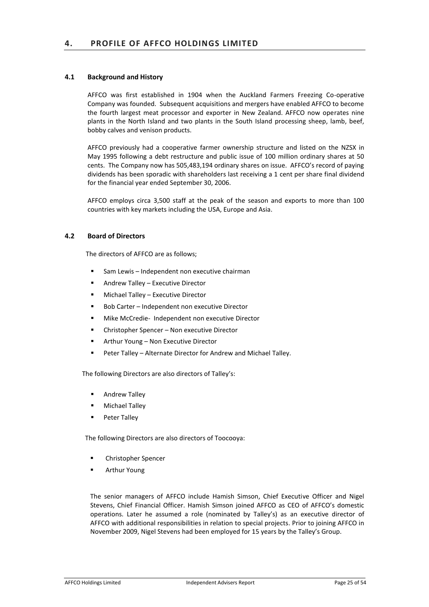# **4.1 Background and History**

AFFCO was first established in 1904 when the Auckland Farmers Freezing Co-operative Company was founded. Subsequent acquisitions and mergers have enabled AFFCO to become the fourth largest meat processor and exporter in New Zealand. AFFCO now operates nine plants in the North Island and two plants in the South Island processing sheep, lamb, beef, bobby calves and venison products.

AFFCO previously had a cooperative farmer ownership structure and listed on the NZSX in May 1995 following a debt restructure and public issue of 100 million ordinary shares at 50 cents. The Company now has 505,483,194 ordinary shares on issue. AFFCO's record of paying dividends has been sporadic with shareholders last receiving a 1 cent per share final dividend for the financial year ended September 30, 2006.

AFFCO employs circa 3,500 staff at the peak of the season and exports to more than 100 countries with key markets including the USA, Europe and Asia.

# **4.2 Board of Directors**

The directors of AFFCO are as follows;

- Sam Lewis Independent non executive chairman
- Andrew Talley Executive Director
- ! Michael Talley Executive Director
- ! Bob Carter Independent non executive Director
- ! Mike McCredie- Independent non executive Director
- ! Christopher Spencer Non executive Director
- ! Arthur Young Non Executive Director
- ! Peter Talley Alternate Director for Andrew and Michael Talley.

The following Directors are also directors of Talley's:

- **EXECUTE:** Andrew Talley
- **Michael Talley**
- **Peter Talley**

The following Directors are also directors of Toocooya:

- ! Christopher Spencer
- ! Arthur Young

The senior managers of AFFCO include Hamish Simson, Chief Executive Officer and Nigel Stevens, Chief Financial Officer. Hamish Simson joined AFFCO as CEO of AFFCO's domestic operations. Later he assumed a role (nominated by Talley's) as an executive director of AFFCO with additional responsibilities in relation to special projects. Prior to joining AFFCO in November 2009, Nigel Stevens had been employed for 15 years by the Talley's Group.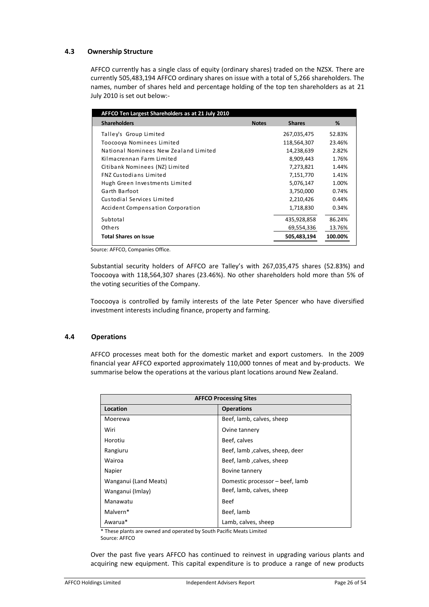# **4.3 Ownership Structure**

AFFCO currently has a single class of equity (ordinary shares) traded on the NZSX. There are currently 505,483,194 AFFCO ordinary shares on issue with a total of 5,266 shareholders. The names, number of shares held and percentage holding of the top ten shareholders as at 21 July 2010 is set out below:-

| AFFCO Ten Largest Shareholders as at 21 July 2010 |              |               |         |
|---------------------------------------------------|--------------|---------------|---------|
| <b>Shareholders</b>                               | <b>Notes</b> | <b>Shares</b> | %       |
| Talley's Group Limited                            |              | 267,035,475   | 52.83%  |
| Toocooya Nominees Limited                         |              | 118,564,307   | 23.46%  |
| National Nominees New Zealand Limited             |              | 14,238,639    | 2.82%   |
| Kilmacrennan Farm Limited                         |              | 8,909,443     | 1.76%   |
| Citibank Nominees (NZ) Limited                    |              | 7,273,821     | 1.44%   |
| <b>FNZ Custodians Limited</b>                     |              | 7,151,770     | 1.41%   |
| Hugh Green Investments Limited                    |              | 5,076,147     | 1.00%   |
| Garth Barfoot                                     |              | 3,750,000     | 0.74%   |
| Custodial Services Limited                        |              | 2,210,426     | 0.44%   |
| Accident Compensation Corporation                 |              | 1,718,830     | 0.34%   |
| Subtotal                                          |              | 435,928,858   | 86.24%  |
| Others                                            |              | 69,554,336    | 13.76%  |
| <b>Total Shares on Issue</b>                      |              | 505,483,194   | 100.00% |

Source: AFFCO, Companies Office.

Substantial security holders of AFFCO are Talley's with 267,035,475 shares (52.83%) and Toocooya with 118,564,307 shares (23.46%). No other shareholders hold more than 5% of the voting securities of the Company.

Toocooya is controlled by family interests of the late Peter Spencer who have diversified investment interests including finance, property and farming.

# **4.4 Operations**

AFFCO processes meat both for the domestic market and export customers. In the 2009 financial year AFFCO exported approximately 110,000 tonnes of meat and by-products. We summarise below the operations at the various plant locations around New Zealand.

| <b>AFFCO Processing Sites</b> |                                 |  |  |
|-------------------------------|---------------------------------|--|--|
| Location                      | <b>Operations</b>               |  |  |
| Moerewa                       | Beef, lamb, calves, sheep       |  |  |
| Wiri                          | Ovine tannery                   |  |  |
| Horotiu                       | Beef, calves                    |  |  |
| Rangiuru                      | Beef, lamb, calves, sheep, deer |  |  |
| Wairoa                        | Beef, lamb, calves, sheep       |  |  |
| Napier                        | Bovine tannery                  |  |  |
| Wanganui (Land Meats)         | Domestic processor - beef, lamb |  |  |
| Wanganui (Imlay)              | Beef, lamb, calves, sheep       |  |  |
| Manawatu                      | <b>Beef</b>                     |  |  |
| Malvern*                      | Beef, lamb                      |  |  |
| Awarua*                       | Lamb, calves, sheep             |  |  |

\* These plants are owned and operated by South Pacific Meats Limited

Source: AFFCO

Over the past five years AFFCO has continued to reinvest in upgrading various plants and acquiring new equipment. This capital expenditure is to produce a range of new products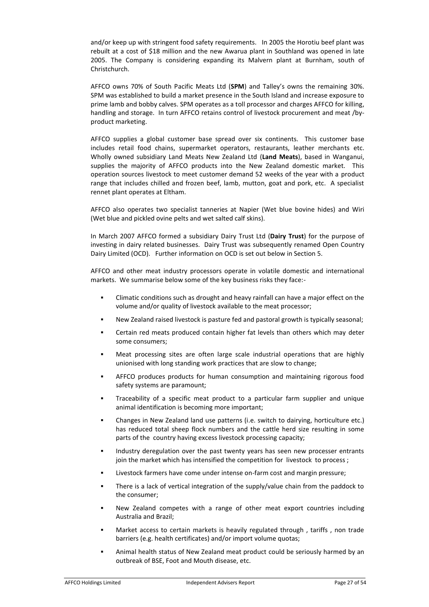and/or keep up with stringent food safety requirements. In 2005 the Horotiu beef plant was rebuilt at a cost of \$18 million and the new Awarua plant in Southland was opened in late 2005. The Company is considering expanding its Malvern plant at Burnham, south of Christchurch.

AFFCO owns 70% of South Pacific Meats Ltd (**SPM**) and Talley's owns the remaining 30%. SPM was established to build a market presence in the South Island and increase exposure to prime lamb and bobby calves. SPM operates as a toll processor and charges AFFCO for killing, handling and storage. In turn AFFCO retains control of livestock procurement and meat /byproduct marketing.

AFFCO supplies a global customer base spread over six continents. This customer base includes retail food chains, supermarket operators, restaurants, leather merchants etc. Wholly owned subsidiary Land Meats New Zealand Ltd (**Land Meats**), based in Wanganui, supplies the majority of AFFCO products into the New Zealand domestic market. This operation sources livestock to meet customer demand 52 weeks of the year with a product range that includes chilled and frozen beef, lamb, mutton, goat and pork, etc. A specialist rennet plant operates at Eltham.

AFFCO also operates two specialist tanneries at Napier (Wet blue bovine hides) and Wiri (Wet blue and pickled ovine pelts and wet salted calf skins).

In March 2007 AFFCO formed a subsidiary Dairy Trust Ltd (**Dairy Trust**) for the purpose of investing in dairy related businesses. Dairy Trust was subsequently renamed Open Country Dairy Limited (OCD). Further information on OCD is set out below in Section 5.

AFFCO and other meat industry processors operate in volatile domestic and international markets. We summarise below some of the key business risks they face:-

- ! Climatic conditions such as drought and heavy rainfall can have a major effect on the volume and/or quality of livestock available to the meat processor;
- New Zealand raised livestock is pasture fed and pastoral growth is typically seasonal;
- Certain red meats produced contain higher fat levels than others which may deter some consumers;
- Meat processing sites are often large scale industrial operations that are highly unionised with long standing work practices that are slow to change;
- ! AFFCO produces products for human consumption and maintaining rigorous food safety systems are paramount;
- ! Traceability of a specific meat product to a particular farm supplier and unique animal identification is becoming more important;
- ! Changes in New Zealand land use patterns (i.e. switch to dairying, horticulture etc.) has reduced total sheep flock numbers and the cattle herd size resulting in some parts of the country having excess livestock processing capacity;
- ! Industry deregulation over the past twenty years has seen new processer entrants join the market which has intensified the competition for livestock to process;
- Livestock farmers have come under intense on-farm cost and margin pressure;
- There is a lack of vertical integration of the supply/value chain from the paddock to the consumer;
- New Zealand competes with a range of other meat export countries including Australia and Brazil;
- Market access to certain markets is heavily regulated through, tariffs, non trade barriers (e.g. health certificates) and/or import volume quotas;
- Animal health status of New Zealand meat product could be seriously harmed by an outbreak of BSE, Foot and Mouth disease, etc.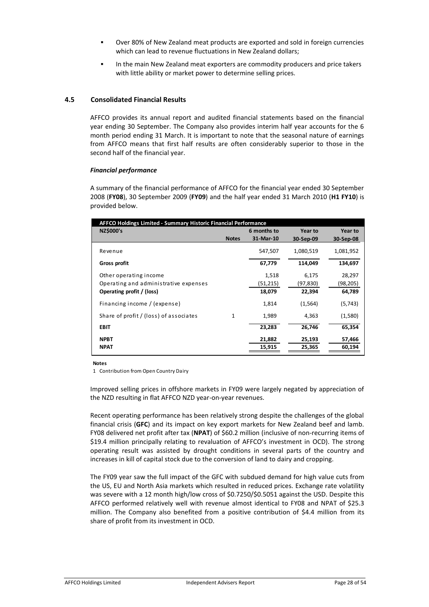- ! Over 80% of New Zealand meat products are exported and sold in foreign currencies which can lead to revenue fluctuations in New Zealand dollars;
- In the main New Zealand meat exporters are commodity producers and price takers with little ability or market power to determine selling prices.

# **4.5 Consolidated Financial Results**

AFFCO provides its annual report and audited financial statements based on the financial year ending 30 September. The Company also provides interim half year accounts for the 6 month period ending 31 March. It is important to note that the seasonal nature of earnings from AFFCO means that first half results are often considerably superior to those in the second half of the financial year.

#### *Financial performance*

A summary of the financial performance of AFFCO for the financial year ended 30 September 2008 (**FY08**), 30 September 2009 (**FY09**) and the half year ended 31 March 2010 (**H1 FY10**) is provided below.

| AFFCO Holdings Limited - Summary Historic Financial Performance |              |             |           |                |  |
|-----------------------------------------------------------------|--------------|-------------|-----------|----------------|--|
| <b>NZ\$000's</b>                                                |              | 6 months to | Year to   | <b>Year to</b> |  |
|                                                                 | <b>Notes</b> | 31-Mar-10   | 30-Sep-09 | 30-Sep-08      |  |
| Revenue                                                         |              | 547,507     | 1,080,519 | 1,081,952      |  |
| Gross profit                                                    |              | 67,779      | 114,049   | 134,697        |  |
| Other operating income                                          |              | 1,518       | 6,175     | 28,297         |  |
| Operating and administrative expenses                           |              | (51, 215)   | (97,830)  | (98, 205)      |  |
| Operating profit / (loss)                                       |              | 18,079      | 22,394    | 64,789         |  |
| Financing income / (expense)                                    |              | 1,814       | (1, 564)  | (5,743)        |  |
| Share of profit / (loss) of associates                          | 1            | 1,989       | 4,363     | (1,580)        |  |
| <b>EBIT</b>                                                     |              | 23,283      | 26,746    | 65,354         |  |
| <b>NPBT</b>                                                     |              | 21,882      | 25,193    | 57,466         |  |
| <b>NPAT</b>                                                     |              | 15,915      | 25,365    | 60,194         |  |

**Notes**

1 Contribution from Open Country Dairy

Improved selling prices in offshore markets in FY09 were largely negated by appreciation of the NZD resulting in flat AFFCO NZD year-on-year revenues.

Recent operating performance has been relatively strong despite the challenges of the global financial crisis (**GFC**) and its impact on key export markets for New Zealand beef and lamb. FY08 delivered net profit after tax (**NPAT**) of \$60.2 million (inclusive of non-recurring items of \$19.4 million principally relating to revaluation of AFFCO's investment in OCD). The strong operating result was assisted by drought conditions in several parts of the country and increases in kill of capital stock due to the conversion of land to dairy and cropping.

The FY09 year saw the full impact of the GFC with subdued demand for high value cuts from the US, EU and North Asia markets which resulted in reduced prices. Exchange rate volatility was severe with a 12 month high/low cross of \$0.7250/\$0.5051 against the USD. Despite this AFFCO performed relatively well with revenue almost identical to FY08 and NPAT of \$25.3 million. The Company also benefited from a positive contribution of \$4.4 million from its share of profit from its investment in OCD.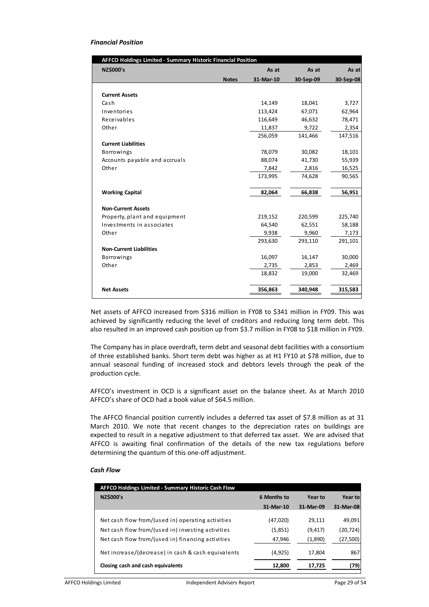# *Financial Position*

| <b>AFFCO Holdings Limited - Summary Historic Financial Position</b> |              |           |           |           |  |  |
|---------------------------------------------------------------------|--------------|-----------|-----------|-----------|--|--|
| <b>NZ\$000's</b>                                                    |              | As at     | As at     | As at     |  |  |
|                                                                     | <b>Notes</b> | 31-Mar-10 | 30-Sep-09 | 30-Sep-08 |  |  |
|                                                                     |              |           |           |           |  |  |
| <b>Current Assets</b>                                               |              |           |           |           |  |  |
| Cash                                                                |              | 14,149    | 18,041    | 3,727     |  |  |
| Inventories                                                         |              | 113,424   | 67,071    | 62,964    |  |  |
| Receivables                                                         |              | 116,649   | 46,632    | 78,471    |  |  |
| Other                                                               |              | 11,837    | 9,722     | 2,354     |  |  |
|                                                                     |              | 256,059   | 141,466   | 147,516   |  |  |
| <b>Current Liabilities</b>                                          |              |           |           |           |  |  |
| <b>Borrowings</b>                                                   |              | 78,079    | 30,082    | 18,101    |  |  |
| Accounts payable and accruals                                       |              | 88,074    | 41,730    | 55,939    |  |  |
| Other                                                               |              | 7,842     | 2,816     | 16,525    |  |  |
|                                                                     |              | 173,995   | 74,628    | 90,565    |  |  |
| <b>Working Capital</b>                                              |              | 82,064    | 66,838    | 56,951    |  |  |
| <b>Non-Current Assets</b>                                           |              |           |           |           |  |  |
| Property, plant and equipment                                       |              | 219,152   | 220,599   | 225,740   |  |  |
| Investments in associates                                           |              | 64,540    | 62,551    | 58,188    |  |  |
| Other                                                               |              | 9,938     | 9,960     | 7,173     |  |  |
|                                                                     |              | 293,630   | 293,110   | 291,101   |  |  |
| <b>Non-Current Liabilities</b>                                      |              |           |           |           |  |  |
| Borrowings                                                          |              | 16,097    | 16,147    | 30,000    |  |  |
| Other                                                               |              | 2,735     | 2,853     | 2,469     |  |  |
|                                                                     |              | 18,832    | 19,000    | 32,469    |  |  |
| <b>Net Assets</b>                                                   |              | 356,863   | 340,948   | 315,583   |  |  |

Net assets of AFFCO increased from \$316 million in FY08 to \$341 million in FY09. This was achieved by significantly reducing the level of creditors and reducing long term debt. This also resulted in an improved cash position up from \$3.7 million in FY08 to \$18 million in FY09.

The Company has in place overdraft, term debt and seasonal debt facilities with a consortium of three established banks. Short term debt was higher as at H1 FY10 at \$78 million, due to annual seasonal funding of increased stock and debtors levels through the peak of the production cycle.

AFFCO's investment in OCD is a significant asset on the balance sheet. As at March 2010 AFFCO's share of OCD had a book value of \$64.5 million.

The AFFCO financial position currently includes a deferred tax asset of \$7.8 million as at 31 March 2010. We note that recent changes to the depreciation rates on buildings are expected to result in a negative adjustment to that deferred tax asset. We are advised that AFFCO is awaiting final confirmation of the details of the new tax regulations before determining the quantum of this one-off adjustment.

# *Cash Flow*

| <b>AFFCO Holdings Limited - Summary Historic Cash Flow</b> |             |           |           |  |  |  |
|------------------------------------------------------------|-------------|-----------|-----------|--|--|--|
| <b>NZ\$000's</b>                                           | 6 Months to | Year to   | Year to   |  |  |  |
|                                                            | 31-Mar-10   | 31-Mar-09 | 31-Mar-08 |  |  |  |
| Net cash flow from/(used in) operating activities          | (47,020)    | 29,111    | 49,091    |  |  |  |
| Net cash flow from/(used in) investing activities          | (5,851)     | (9, 417)  | (20,724)  |  |  |  |
| Net cash flow from/(used in) financing activities          | 47,946      | (1,890)   | (27, 500) |  |  |  |
| Net increase/(decrease) in cash & cash equivalents         | (4,925)     | 17,804    | 867       |  |  |  |
| Closing cash and cash equivalents                          | 12,800      | 17,725    | (79)      |  |  |  |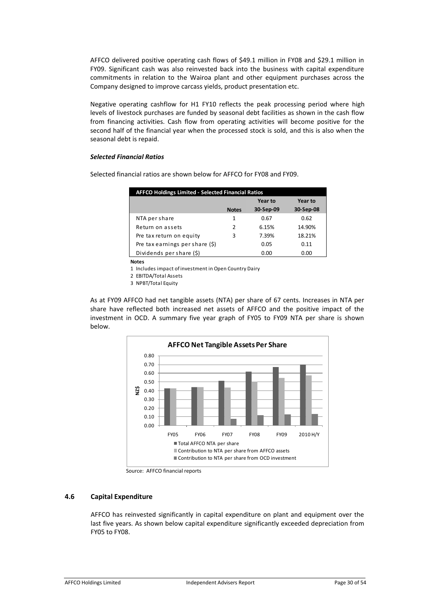AFFCO delivered positive operating cash flows of \$49.1 million in FY08 and \$29.1 million in FY09. Significant cash was also reinvested back into the business with capital expenditure commitments in relation to the Wairoa plant and other equipment purchases across the Company designed to improve carcass yields, product presentation etc.

Negative operating cashflow for H1 FY10 reflects the peak processing period where high levels of livestock purchases are funded by seasonal debt facilities as shown in the cash flow from financing activities. Cash flow from operating activities will become positive for the second half of the financial year when the processed stock is sold, and this is also when the seasonal debt is repaid.

#### *Selected Financial Ratios*

| <b>AFFCO Holdings Limited - Selected Financial Ratios</b> |              |           |           |  |  |  |  |  |
|-----------------------------------------------------------|--------------|-----------|-----------|--|--|--|--|--|
|                                                           |              |           | Year to   |  |  |  |  |  |
|                                                           | <b>Notes</b> | 30-Sep-09 | 30-Sep-08 |  |  |  |  |  |
| NTA per share                                             | 1            | 0.67      | 0.62      |  |  |  |  |  |
| Return on assets                                          | 2            | 6.15%     | 14.90%    |  |  |  |  |  |
| Pre tax return on equity                                  | 3            | 7.39%     | 18.21%    |  |  |  |  |  |
| Pre tax earnings per share $(\xi)$                        |              | 0.05      | 0.11      |  |  |  |  |  |
| Dividends per share (\$)                                  |              | 0.00      | 0.00      |  |  |  |  |  |

Selected financial ratios are shown below for AFFCO for FY08 and FY09.

**Notes**

1 Includes impact of investment in Open Country Dairy

2 EBITDA/Total Assets

3 NPBT/Total Equity

As at FY09 AFFCO had net tangible assets (NTA) per share of 67 cents. Increases in NTA per share have reflected both increased net assets of AFFCO and the positive impact of the investment in OCD. A summary five year graph of FY05 to FY09 NTA per share is shown below.



Source: AFFCO financial reports

# **4.6 Capital Expenditure**

AFFCO has reinvested significantly in capital expenditure on plant and equipment over the last five years. As shown below capital expenditure significantly exceeded depreciation from FY05 to FY08.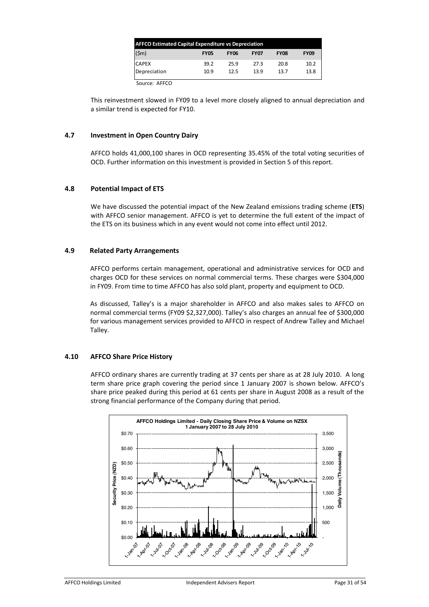| <b>AFFCO Estimated Capital Expenditure vs Depreciation</b> |             |             |             |             |             |
|------------------------------------------------------------|-------------|-------------|-------------|-------------|-------------|
| $(\textsf{5m})$                                            | <b>FY05</b> | <b>FY06</b> | <b>FY07</b> | <b>FY08</b> | <b>FY09</b> |
| <b>CAPEX</b>                                               | 39.2        | 25.9        | 27.3        | 20.8        | 10.2        |
| Depreciation                                               | 10.9        | 12.5        | 13.9        | 13.7        | 13.8        |

Source: AFFCO

This reinvestment slowed in FY09 to a level more closely aligned to annual depreciation and a similar trend is expected for FY10.

# **4.7 Investment in Open Country Dairy**

AFFCO holds 41,000,100 shares in OCD representing 35.45% of the total voting securities of OCD. Further information on this investment is provided in Section 5 of this report.

# **4.8 Potential Impact of ETS**

We have discussed the potential impact of the New Zealand emissions trading scheme (**ETS**) with AFFCO senior management. AFFCO is yet to determine the full extent of the impact of the ETS on its business which in any event would not come into effect until 2012.

# **4.9 Related Party Arrangements**

AFFCO performs certain management, operational and administrative services for OCD and charges OCD for these services on normal commercial terms. These charges were \$304,000 in FY09. From time to time AFFCO has also sold plant, property and equipment to OCD.

As discussed, Talley's is a major shareholder in AFFCO and also makes sales to AFFCO on normal commercial terms (FY09 \$2,327,000). Talley's also charges an annual fee of \$300,000 for various management services provided to AFFCO in respect of Andrew Talley and Michael Talley.

# **4.10 AFFCO Share Price History**

AFFCO ordinary shares are currently trading at 37 cents per share as at 28 July 2010. A long term share price graph covering the period since 1 January 2007 is shown below. AFFCO's share price peaked during this period at 61 cents per share in August 2008 as a result of the strong financial performance of the Company during that period.

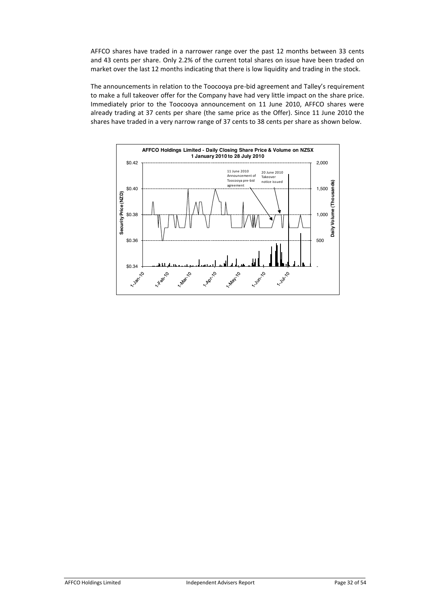AFFCO shares have traded in a narrower range over the past 12 months between 33 cents and 43 cents per share. Only 2.2% of the current total shares on issue have been traded on market over the last 12 months indicating that there is low liquidity and trading in the stock.

The announcements in relation to the Toocooya pre-bid agreement and Talley's requirement to make a full takeover offer for the Company have had very little impact on the share price. Immediately prior to the Toocooya announcement on 11 June 2010, AFFCO shares were already trading at 37 cents per share (the same price as the Offer). Since 11 June 2010 the shares have traded in a very narrow range of 37 cents to 38 cents per share as shown below.

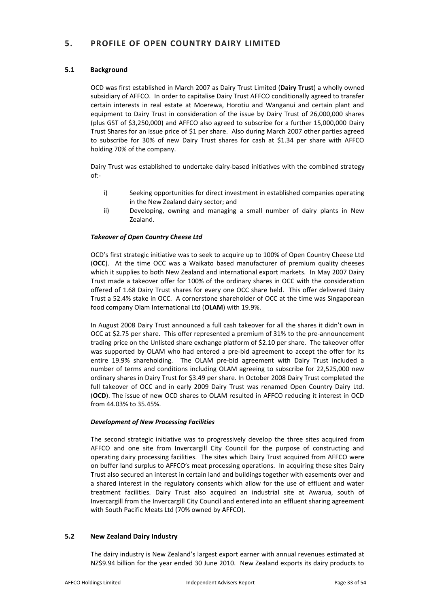# **5.1 Background**

OCD was first established in March 2007 as Dairy Trust Limited (**Dairy Trust**) a wholly owned subsidiary of AFFCO. In order to capitalise Dairy Trust AFFCO conditionally agreed to transfer certain interests in real estate at Moerewa, Horotiu and Wanganui and certain plant and equipment to Dairy Trust in consideration of the issue by Dairy Trust of 26,000,000 shares (plus GST of \$3,250,000) and AFFCO also agreed to subscribe for a further 15,000,000 Dairy Trust Shares for an issue price of \$1 per share. Also during March 2007 other parties agreed to subscribe for 30% of new Dairy Trust shares for cash at \$1.34 per share with AFFCO holding 70% of the company.

Dairy Trust was established to undertake dairy-based initiatives with the combined strategy of:-

- i) Seeking opportunities for direct investment in established companies operating in the New Zealand dairy sector; and
- ii) Developing, owning and managing a small number of dairy plants in New Zealand.

# *Takeover of Open Country Cheese Ltd*

OCD's first strategic initiative was to seek to acquire up to 100% of Open Country Cheese Ltd (**OCC**). At the time OCC was a Waikato based manufacturer of premium quality cheeses which it supplies to both New Zealand and international export markets. In May 2007 Dairy Trust made a takeover offer for 100% of the ordinary shares in OCC with the consideration offered of 1.68 Dairy Trust shares for every one OCC share held. This offer delivered Dairy Trust a 52.4% stake in OCC. A cornerstone shareholder of OCC at the time was Singaporean food company Olam International Ltd (**OLAM**) with 19.9%.

In August 2008 Dairy Trust announced a full cash takeover for all the shares it didn't own in OCC at \$2.75 per share. This offer represented a premium of 31% to the pre-announcement trading price on the Unlisted share exchange platform of \$2.10 per share. The takeover offer was supported by OLAM who had entered a pre-bid agreement to accept the offer for its entire 19.9% shareholding. The OLAM pre-bid agreement with Dairy Trust included a number of terms and conditions including OLAM agreeing to subscribe for 22,525,000 new ordinary shares in Dairy Trust for \$3.49 per share. In October 2008 Dairy Trust completed the full takeover of OCC and in early 2009 Dairy Trust was renamed Open Country Dairy Ltd. (**OCD**). The issue of new OCD shares to OLAM resulted in AFFCO reducing it interest in OCD from 44.03% to 35.45%.

# *Development of New Processing Facilities*

The second strategic initiative was to progressively develop the three sites acquired from AFFCO and one site from Invercargill City Council for the purpose of constructing and operating dairy processing facilities. The sites which Dairy Trust acquired from AFFCO were on buffer land surplus to AFFCO's meat processing operations. In acquiring these sites Dairy Trust also secured an interest in certain land and buildings together with easements over and a shared interest in the regulatory consents which allow for the use of effluent and water treatment facilities. Dairy Trust also acquired an industrial site at Awarua, south of Invercargill from the Invercargill City Council and entered into an effluent sharing agreement with South Pacific Meats Ltd (70% owned by AFFCO).

# **5.2 New Zealand Dairy Industry**

The dairy industry is New Zealand's largest export earner with annual revenues estimated at NZ\$9.94 billion for the year ended 30 June 2010. New Zealand exports its dairy products to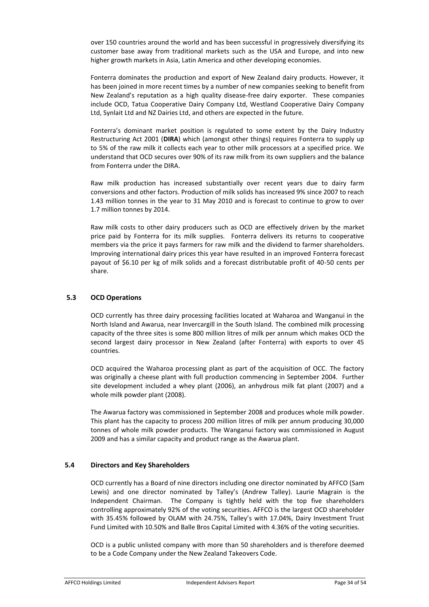over 150 countries around the world and has been successful in progressively diversifying its customer base away from traditional markets such as the USA and Europe, and into new higher growth markets in Asia, Latin America and other developing economies.

Fonterra dominates the production and export of New Zealand dairy products. However, it has been joined in more recent times by a number of new companies seeking to benefit from New Zealand's reputation as a high quality disease-free dairy exporter. These companies include OCD, Tatua Cooperative Dairy Company Ltd, Westland Cooperative Dairy Company Ltd, Synlait Ltd and NZ Dairies Ltd, and others are expected in the future.

Fonterra's dominant market position is regulated to some extent by the Dairy Industry Restructuring Act 2001 (**DIRA**) which (amongst other things) requires Fonterra to supply up to 5% of the raw milk it collects each year to other milk processors at a specified price. We understand that OCD secures over 90% of its raw milk from its own suppliers and the balance from Fonterra under the DIRA.

Raw milk production has increased substantially over recent years due to dairy farm conversions and other factors. Production of milk solids has increased 9% since 2007 to reach 1.43 million tonnes in the year to 31 May 2010 and is forecast to continue to grow to over 1.7 million tonnes by 2014.

Raw milk costs to other dairy producers such as OCD are effectively driven by the market price paid by Fonterra for its milk supplies. Fonterra delivers its returns to cooperative members via the price it pays farmers for raw milk and the dividend to farmer shareholders. Improving international dairy prices this year have resulted in an improved Fonterra forecast payout of \$6.10 per kg of milk solids and a forecast distributable profit of 40-50 cents per share.

# **5.3 OCD Operations**

OCD currently has three dairy processing facilities located at Waharoa and Wanganui in the North Island and Awarua, near Invercargill in the South Island. The combined milk processing capacity of the three sites is some 800 million litres of milk per annum which makes OCD the second largest dairy processor in New Zealand (after Fonterra) with exports to over 45 countries.

OCD acquired the Waharoa processing plant as part of the acquisition of OCC. The factory was originally a cheese plant with full production commencing in September 2004. Further site development included a whey plant (2006), an anhydrous milk fat plant (2007) and a whole milk powder plant (2008).

The Awarua factory was commissioned in September 2008 and produces whole milk powder. This plant has the capacity to process 200 million litres of milk per annum producing 30,000 tonnes of whole milk powder products. The Wanganui factory was commissioned in August 2009 and has a similar capacity and product range as the Awarua plant.

# **5.4 Directors and Key Shareholders**

OCD currently has a Board of nine directors including one director nominated by AFFCO (Sam Lewis) and one director nominated by Talley's (Andrew Talley). Laurie Magrain is the Independent Chairman. The Company is tightly held with the top five shareholders controlling approximately 92% of the voting securities. AFFCO is the largest OCD shareholder with 35.45% followed by OLAM with 24.75%, Talley's with 17.04%, Dairy Investment Trust Fund Limited with 10.50% and Balle Bros Capital Limited with 4.36% of the voting securities.

OCD is a public unlisted company with more than 50 shareholders and is therefore deemed to be a Code Company under the New Zealand Takeovers Code.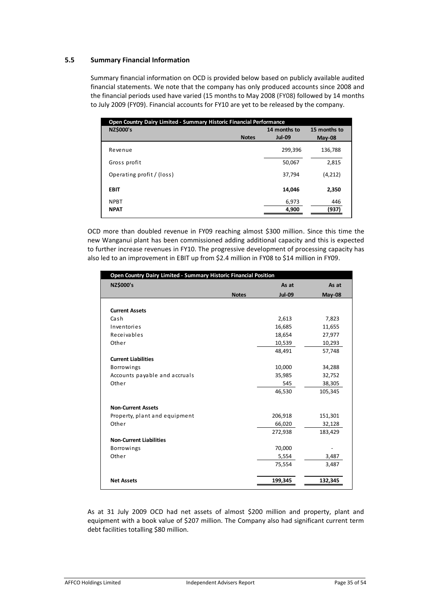# **5.5 Summary Financial Information**

Summary financial information on OCD is provided below based on publicly available audited financial statements. We note that the company has only produced accounts since 2008 and the financial periods used have varied (15 months to May 2008 (FY08) followed by 14 months to July 2009 (FY09). Financial accounts for FY10 are yet to be released by the company.

| Open Country Dairy Limited - Summary Historic Financial Performance |              |               |              |  |
|---------------------------------------------------------------------|--------------|---------------|--------------|--|
| <b>NZ\$000's</b>                                                    |              | 14 months to  | 15 months to |  |
|                                                                     | <b>Notes</b> | <b>Jul-09</b> | $May-08$     |  |
| Revenue                                                             |              | 299,396       | 136,788      |  |
| Gross profit                                                        |              | 50,067        | 2,815        |  |
| Operating profit / (loss)                                           |              | 37,794        | (4,212)      |  |
| <b>EBIT</b>                                                         |              | 14,046        | 2,350        |  |
| <b>NPBT</b>                                                         |              | 6,973         | 446          |  |
| <b>NPAT</b>                                                         |              | 4,900         | (937)        |  |

OCD more than doubled revenue in FY09 reaching almost \$300 million. Since this time the new Wanganui plant has been commissioned adding additional capacity and this is expected to further increase revenues in FY10. The progressive development of processing capacity has also led to an improvement in EBIT up from \$2.4 million in FY08 to \$14 million in FY09.

| Open Country Dairy Limited - Summary Historic Financial Position |              |               |               |  |
|------------------------------------------------------------------|--------------|---------------|---------------|--|
| <b>NZ\$000's</b>                                                 |              | As at         | As at         |  |
|                                                                  | <b>Notes</b> | <b>Jul-09</b> | <b>May-08</b> |  |
|                                                                  |              |               |               |  |
| <b>Current Assets</b>                                            |              |               |               |  |
| Cash                                                             |              | 2,613         | 7,823         |  |
| Inventories                                                      |              | 16,685        | 11,655        |  |
| Receivables                                                      |              | 18,654        | 27,977        |  |
| Other                                                            |              | 10,539        | 10,293        |  |
|                                                                  |              | 48,491        | 57,748        |  |
| <b>Current Liabilities</b>                                       |              |               |               |  |
| <b>Borrowings</b>                                                |              | 10,000        | 34,288        |  |
| Accounts payable and accruals                                    |              | 35,985        | 32,752        |  |
| Other                                                            |              | 545           | 38,305        |  |
|                                                                  |              | 46,530        | 105,345       |  |
|                                                                  |              |               |               |  |
| <b>Non-Current Assets</b>                                        |              |               |               |  |
| Property, plant and equipment                                    |              | 206,918       | 151,301       |  |
| Other                                                            |              | 66,020        | 32,128        |  |
|                                                                  |              | 272,938       | 183,429       |  |
| <b>Non-Current Liabilities</b>                                   |              |               |               |  |
| <b>Borrowings</b>                                                |              | 70,000        |               |  |
| Other                                                            |              | 5,554         | 3,487         |  |
|                                                                  |              | 75,554        | 3,487         |  |
|                                                                  |              |               |               |  |
| <b>Net Assets</b>                                                |              | 199,345       | 132,345       |  |
|                                                                  |              |               |               |  |

As at 31 July 2009 OCD had net assets of almost \$200 million and property, plant and equipment with a book value of \$207 million. The Company also had significant current term debt facilities totalling \$80 million.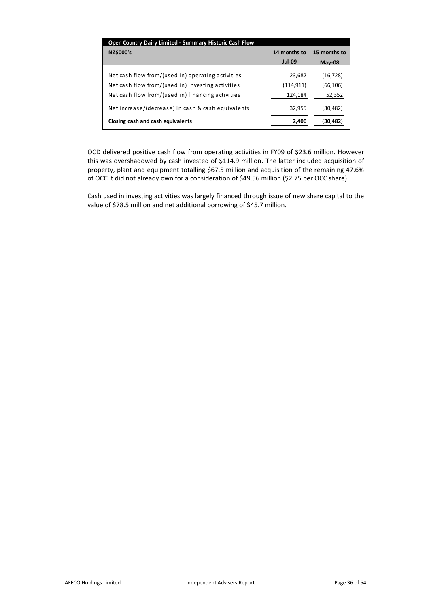| Open Country Dairy Limited - Summary Historic Cash Flow |               |              |
|---------------------------------------------------------|---------------|--------------|
| <b>NZ\$000's</b>                                        | 14 months to  | 15 months to |
|                                                         | <b>Jul-09</b> | May-08       |
|                                                         |               |              |
| Net cash flow from/(used in) operating activities       | 23,682        | (16, 728)    |
| Net cash flow from/(used in) investing activities       | (114,911)     | (66, 106)    |
| Net cash flow from/(used in) financing activities       | 124,184       | 52,352       |
| Net increase/(decrease) in cash & cash equivalents      | 32,955        | (30,482)     |
|                                                         |               |              |
| Closing cash and cash equivalents                       | 2,400         | (30,482)     |
|                                                         |               |              |

OCD delivered positive cash flow from operating activities in FY09 of \$23.6 million. However this was overshadowed by cash invested of \$114.9 million. The latter included acquisition of property, plant and equipment totalling \$67.5 million and acquisition of the remaining 47.6% of OCC it did not already own for a consideration of \$49.56 million (\$2.75 per OCC share).

Cash used in investing activities was largely financed through issue of new share capital to the value of \$78.5 million and net additional borrowing of \$45.7 million.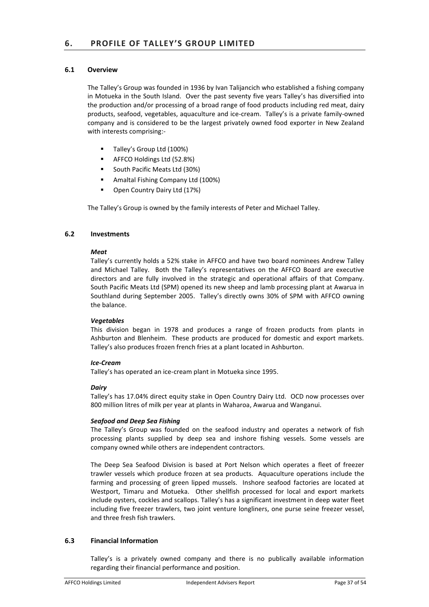# **6.1 Overview**

The Talley's Group was founded in 1936 by Ivan Talijancich who established a fishing company in Motueka in the South Island. Over the past seventy five years Talley's has diversified into the production and/or processing of a broad range of food products including red meat, dairy products, seafood, vegetables, aquaculture and ice-cream. Talley's is a private family-owned company and is considered to be the largest privately owned food exporter in New Zealand with interests comprising:-

- Talley's Group Ltd (100%)
- ! AFFCO Holdings Ltd (52.8%)
- ! South Pacific Meats Ltd (30%)
- ! Amaltal Fishing Company Ltd (100%)
- ! Open Country Dairy Ltd (17%)

The Talley's Group is owned by the family interests of Peter and Michael Talley.

# **6.2 Investments**

#### *Meat*

Talley's currently holds a 52% stake in AFFCO and have two board nominees Andrew Talley and Michael Talley. Both the Talley's representatives on the AFFCO Board are executive directors and are fully involved in the strategic and operational affairs of that Company. South Pacific Meats Ltd (SPM) opened its new sheep and lamb processing plant at Awarua in Southland during September 2005. Talley's directly owns 30% of SPM with AFFCO owning the balance.

# *Vegetables*

This division began in 1978 and produces a range of frozen products from plants in Ashburton and Blenheim. These products are produced for domestic and export markets. Talley's also produces frozen french fries at a plant located in Ashburton.

# *Ice-Cream*

Talley's has operated an ice-cream plant in Motueka since 1995.

#### *Dairy*

Talley's has 17.04% direct equity stake in Open Country Dairy Ltd. OCD now processes over 800 million litres of milk per year at plants in Waharoa, Awarua and Wanganui.

# *Seafood and Deep Sea Fishing*

The Talley's Group was founded on the seafood industry and operates a network of fish processing plants supplied by deep sea and inshore fishing vessels. Some vessels are company owned while others are independent contractors.

The Deep Sea Seafood Division is based at Port Nelson which operates a fleet of freezer trawler vessels which produce frozen at sea products. Aquaculture operations include the farming and processing of green lipped mussels. Inshore seafood factories are located at Westport, Timaru and Motueka. Other shellfish processed for local and export markets include oysters, cockles and scallops. Talley's has a significant investment in deep water fleet including five freezer trawlers, two joint venture longliners, one purse seine freezer vessel, and three fresh fish trawlers.

# **6.3 Financial Information**

Talley's is a privately owned company and there is no publically available information regarding their financial performance and position.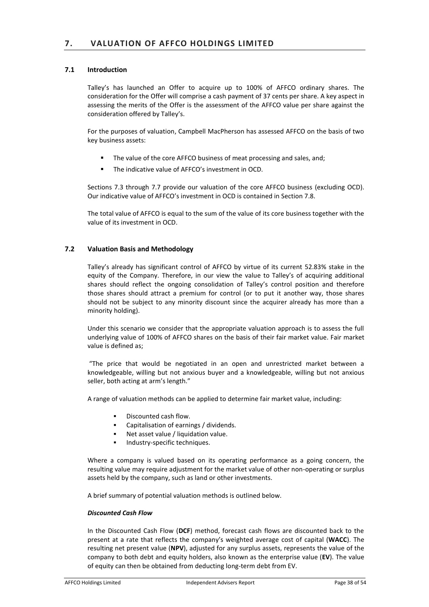# **7.1 Introduction**

Talley's has launched an Offer to acquire up to 100% of AFFCO ordinary shares. The consideration for the Offer will comprise a cash payment of 37 cents per share. A key aspect in assessing the merits of the Offer is the assessment of the AFFCO value per share against the consideration offered by Talley's.

For the purposes of valuation, Campbell MacPherson has assessed AFFCO on the basis of two key business assets:

- The value of the core AFFCO business of meat processing and sales, and;
- ! The indicative value of AFFCO's investment in OCD.

Sections 7.3 through 7.7 provide our valuation of the core AFFCO business (excluding OCD). Our indicative value of AFFCO's investment in OCD is contained in Section 7.8.

The total value of AFFCO is equal to the sum of the value of its core business together with the value of its investment in OCD.

# **7.2 Valuation Basis and Methodology**

Talley's already has significant control of AFFCO by virtue of its current 52.83% stake in the equity of the Company. Therefore, in our view the value to Talley's of acquiring additional shares should reflect the ongoing consolidation of Talley's control position and therefore those shares should attract a premium for control (or to put it another way, those shares should not be subject to any minority discount since the acquirer already has more than a minority holding).

Under this scenario we consider that the appropriate valuation approach is to assess the full underlying value of 100% of AFFCO shares on the basis of their fair market value. Fair market value is defined as;

"The price that would be negotiated in an open and unrestricted market between a knowledgeable, willing but not anxious buyer and a knowledgeable, willing but not anxious seller, both acting at arm's length."

A range of valuation methods can be applied to determine fair market value, including:

- Discounted cash flow.
- Capitalisation of earnings / dividends.
- Net asset value / liquidation value.
- **Industry-specific techniques.**

Where a company is valued based on its operating performance as a going concern, the resulting value may require adjustment for the market value of other non-operating or surplus assets held by the company, such as land or other investments.

A brief summary of potential valuation methods is outlined below.

#### *Discounted Cash Flow*

In the Discounted Cash Flow (**DCF**) method, forecast cash flows are discounted back to the present at a rate that reflects the company's weighted average cost of capital (**WACC**). The resulting net present value (**NPV**), adjusted for any surplus assets, represents the value of the company to both debt and equity holders, also known as the enterprise value (**EV**). The value of equity can then be obtained from deducting long-term debt from EV.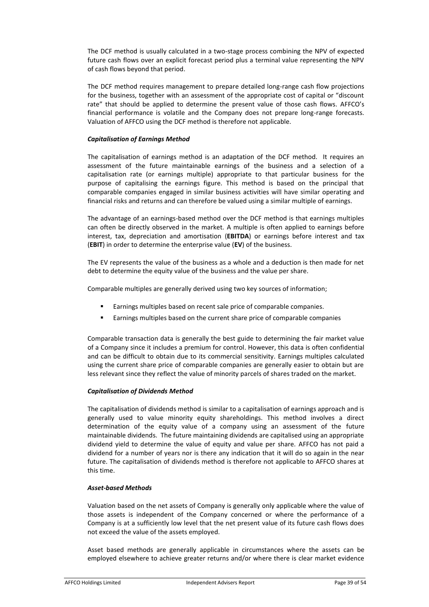The DCF method is usually calculated in a two-stage process combining the NPV of expected future cash flows over an explicit forecast period plus a terminal value representing the NPV of cash flows beyond that period.

The DCF method requires management to prepare detailed long-range cash flow projections for the business, together with an assessment of the appropriate cost of capital or "discount rate" that should be applied to determine the present value of those cash flows. AFFCO's financial performance is volatile and the Company does not prepare long-range forecasts. Valuation of AFFCO using the DCF method is therefore not applicable.

# *Capitalisation of Earnings Method*

The capitalisation of earnings method is an adaptation of the DCF method. It requires an assessment of the future maintainable earnings of the business and a selection of a capitalisation rate (or earnings multiple) appropriate to that particular business for the purpose of capitalising the earnings figure. This method is based on the principal that comparable companies engaged in similar business activities will have similar operating and financial risks and returns and can therefore be valued using a similar multiple of earnings.

The advantage of an earnings-based method over the DCF method is that earnings multiples can often be directly observed in the market. A multiple is often applied to earnings before interest, tax, depreciation and amortisation (**EBITDA**) or earnings before interest and tax (**EBIT**) in order to determine the enterprise value (**EV**) of the business.

The EV represents the value of the business as a whole and a deduction is then made for net debt to determine the equity value of the business and the value per share.

Comparable multiples are generally derived using two key sources of information;

- ! Earnings multiples based on recent sale price of comparable companies.
- Earnings multiples based on the current share price of comparable companies

Comparable transaction data is generally the best guide to determining the fair market value of a Company since it includes a premium for control. However, this data is often confidential and can be difficult to obtain due to its commercial sensitivity. Earnings multiples calculated using the current share price of comparable companies are generally easier to obtain but are less relevant since they reflect the value of minority parcels of shares traded on the market.

# *Capitalisation of Dividends Method*

The capitalisation of dividends method is similar to a capitalisation of earnings approach and is generally used to value minority equity shareholdings. This method involves a direct determination of the equity value of a company using an assessment of the future maintainable dividends. The future maintaining dividends are capitalised using an appropriate dividend yield to determine the value of equity and value per share. AFFCO has not paid a dividend for a number of years nor is there any indication that it will do so again in the near future. The capitalisation of dividends method is therefore not applicable to AFFCO shares at this time.

# *Asset-based Methods*

Valuation based on the net assets of Company is generally only applicable where the value of those assets is independent of the Company concerned or where the performance of a Company is at a sufficiently low level that the net present value of its future cash flows does not exceed the value of the assets employed.

Asset based methods are generally applicable in circumstances where the assets can be employed elsewhere to achieve greater returns and/or where there is clear market evidence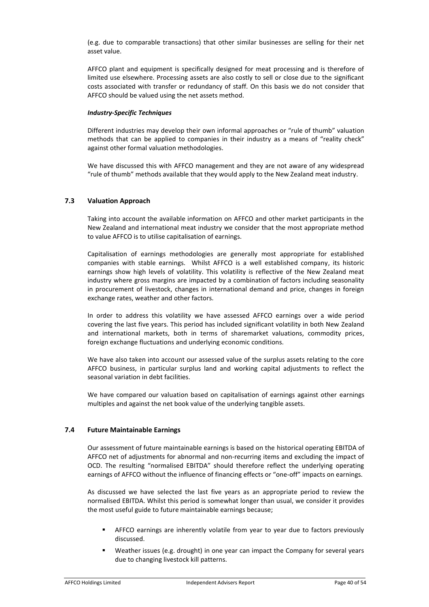(e.g. due to comparable transactions) that other similar businesses are selling for their net asset value.

AFFCO plant and equipment is specifically designed for meat processing and is therefore of limited use elsewhere. Processing assets are also costly to sell or close due to the significant costs associated with transfer or redundancy of staff. On this basis we do not consider that AFFCO should be valued using the net assets method.

# *Industry-Specific Techniques*

Different industries may develop their own informal approaches or "rule of thumb" valuation methods that can be applied to companies in their industry as a means of "reality check" against other formal valuation methodologies.

We have discussed this with AFFCO management and they are not aware of any widespread "rule of thumb" methods available that they would apply to the New Zealand meat industry.

# **7.3 Valuation Approach**

Taking into account the available information on AFFCO and other market participants in the New Zealand and international meat industry we consider that the most appropriate method to value AFFCO is to utilise capitalisation of earnings.

Capitalisation of earnings methodologies are generally most appropriate for established companies with stable earnings. Whilst AFFCO is a well established company, its historic earnings show high levels of volatility. This volatility is reflective of the New Zealand meat industry where gross margins are impacted by a combination of factors including seasonality in procurement of livestock, changes in international demand and price, changes in foreign exchange rates, weather and other factors.

In order to address this volatility we have assessed AFFCO earnings over a wide period covering the last five years. This period has included significant volatility in both New Zealand and international markets, both in terms of sharemarket valuations, commodity prices, foreign exchange fluctuations and underlying economic conditions.

We have also taken into account our assessed value of the surplus assets relating to the core AFFCO business, in particular surplus land and working capital adjustments to reflect the seasonal variation in debt facilities.

We have compared our valuation based on capitalisation of earnings against other earnings multiples and against the net book value of the underlying tangible assets.

# **7.4 Future Maintainable Earnings**

Our assessment of future maintainable earnings is based on the historical operating EBITDA of AFFCO net of adjustments for abnormal and non-recurring items and excluding the impact of OCD. The resulting "normalised EBITDA" should therefore reflect the underlying operating earnings of AFFCO without the influence of financing effects or "one-off" impacts on earnings.

As discussed we have selected the last five years as an appropriate period to review the normalised EBITDA. Whilst this period is somewhat longer than usual, we consider it provides the most useful guide to future maintainable earnings because;

- ! AFFCO earnings are inherently volatile from year to year due to factors previously discussed.
- Weather issues (e.g. drought) in one year can impact the Company for several years due to changing livestock kill patterns.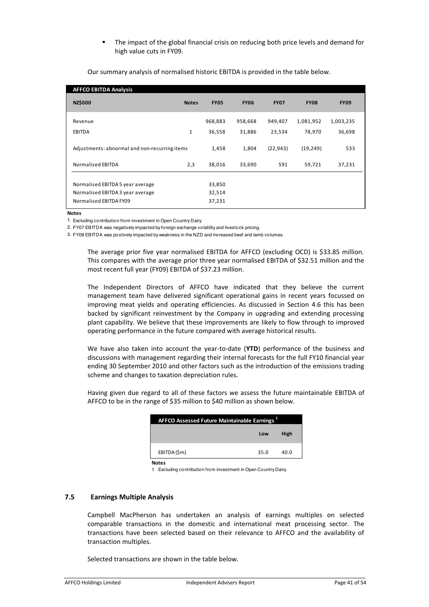The impact of the global financial crisis on reducing both price levels and demand for high value cuts in FY09.

| <b>AFFCO EBITDA Analysis</b>                  |              |             |             |             |             |             |
|-----------------------------------------------|--------------|-------------|-------------|-------------|-------------|-------------|
| <b>NZ\$000</b>                                | <b>Notes</b> | <b>FY05</b> | <b>FY06</b> | <b>FY07</b> | <b>FY08</b> | <b>FY09</b> |
| Revenue                                       |              | 968,883     | 958,668     | 949,407     | 1,081,952   | 1,003,235   |
| EBITDA                                        | $\mathbf{1}$ | 36,558      | 31,886      | 23,534      | 78,970      | 36,698      |
| Adjustments: abnormal and non-recurring items |              | 1,458       | 1,804       | (22, 943)   | (19, 249)   | 533         |
| <b>Normalised EBITDA</b>                      | 2,3          | 38,016      | 33,690      | 591         | 59,721      | 37,231      |
|                                               |              |             |             |             |             |             |
| Normalised EBITDA 5 year average              |              | 33,850      |             |             |             |             |
| Normalised EBITDA 3 year average              |              | 32,514      |             |             |             |             |
| Normalised EBITDA FY09                        |              | 37,231      |             |             |             |             |

Our summary analysis of normalised historic EBITDA is provided in the table below.

**Notes**

1. Excluding contribution from investment in Open Country Dairy

2. FY07 EBITDA was negatively impacted by foreign exchange volatility and livestock pricing.

3. FY08 EBITDA was postively impacted by weakness in the NZD and increased beef and lamb volumes.

The average prior five year normalised EBITDA for AFFCO (excluding OCD) is \$33.85 million. This compares with the average prior three year normalised EBITDA of \$32.51 million and the most recent full year (FY09) EBITDA of \$37.23 million.

The Independent Directors of AFFCO have indicated that they believe the current management team have delivered significant operational gains in recent years focussed on improving meat yields and operating efficiencies. As discussed in Section 4.6 this has been backed by significant reinvestment by the Company in upgrading and extending processing plant capability. We believe that these improvements are likely to flow through to improved operating performance in the future compared with average historical results.

We have also taken into account the year-to-date (**YTD**) performance of the business and discussions with management regarding their internal forecasts for the full FY10 financial year ending 30 September 2010 and other factors such as the introduction of the emissions trading scheme and changes to taxation depreciation rules.

Having given due regard to all of these factors we assess the future maintainable EBITDA of AFFCO to be in the range of \$35 million to \$40 million as shown below.

| <b>AFFCO Assessed Future Maintainable Earnings</b> |      |      |
|----------------------------------------------------|------|------|
|                                                    | Low  | High |
| EBITDA (\$m)                                       | 35.0 | 40.0 |
| <b>Notes</b>                                       |      |      |

1. Excluding contribution from investment in Open Country Dairy.

# **7.5 Earnings Multiple Analysis**

Campbell MacPherson has undertaken an analysis of earnings multiples on selected comparable transactions in the domestic and international meat processing sector. The transactions have been selected based on their relevance to AFFCO and the availability of transaction multiples.

Selected transactions are shown in the table below.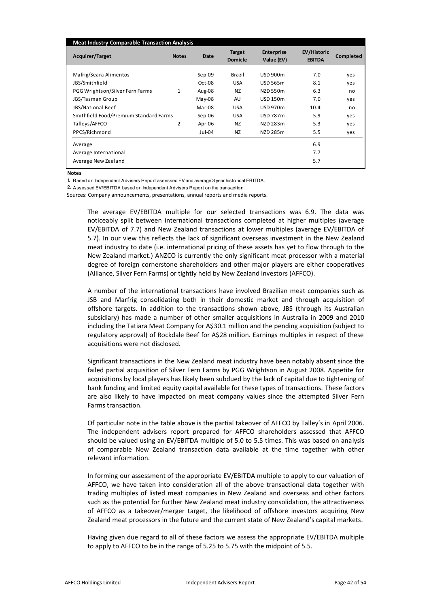| <b>Meat Industry Comparable Transaction Analysis</b> |              |          |                                 |                                 |                                     |           |
|------------------------------------------------------|--------------|----------|---------------------------------|---------------------------------|-------------------------------------|-----------|
| Acquirer/Target                                      | <b>Notes</b> | Date     | <b>Target</b><br><b>Domicle</b> | <b>Enterprise</b><br>Value (EV) | <b>EV/Historic</b><br><b>EBITDA</b> | Completed |
| Mafrig/Seara Alimentos                               |              | $Sep-09$ | Brazil                          | <b>USD 900m</b>                 | 7.0                                 | yes       |
| JBS/Smithfield                                       |              | Oct-08   | <b>USA</b>                      | <b>USD 565m</b>                 | 8.1                                 | yes       |
| PGG Wrightson/Silver Fern Farms                      | 1            | Aug-08   | <b>NZ</b>                       | NZD 550m                        | 6.3                                 | no        |
| JBS/Tasman Group                                     |              | $May-08$ | AU                              | <b>USD 150m</b>                 | 7.0                                 | yes       |
| JBS/National Beef                                    |              | Mar-08   | <b>USA</b>                      | <b>USD 970m</b>                 | 10.4                                | no        |
| Smithfield Food/Premium Standard Farms               |              | $Sep-06$ | <b>USA</b>                      | <b>USD 787m</b>                 | 5.9                                 | yes       |
| Talleys/AFFCO                                        | 2            | Apr-06   | NZ                              | NZD 283m                        | 5.3                                 | ves       |
| PPCS/Richmond                                        |              | Jul-04   | NZ                              | NZD 285m                        | 5.5                                 | yes       |
| Average                                              |              |          |                                 |                                 | 6.9                                 |           |
| Average International                                |              |          |                                 |                                 | 7.7                                 |           |
| Average New Zealand                                  |              |          |                                 |                                 | 5.7                                 |           |

**Notes**

1. Based on Independent Advisers Report assessed EV and average 3 year historical EBITDA.

2. Assessed EV/EBITDA based on Independent Advisers Report on the transaction.

Sources: Company announcements, presentations, annual reports and media reports.

The average EV/EBITDA multiple for our selected transactions was 6.9. The data was noticeably split between international transactions completed at higher multiples (average EV/EBITDA of 7.7) and New Zealand transactions at lower multiples (average EV/EBITDA of 5.7). In our view this reflects the lack of significant overseas investment in the New Zealand meat industry to date (i.e. international pricing of these assets has yet to flow through to the New Zealand market.) ANZCO is currently the only significant meat processor with a material degree of foreign cornerstone shareholders and other major players are either cooperatives (Alliance, Silver Fern Farms) or tightly held by New Zealand investors (AFFCO).

A number of the international transactions have involved Brazilian meat companies such as JSB and Marfrig consolidating both in their domestic market and through acquisition of offshore targets. In addition to the transactions shown above, JBS (through its Australian subsidiary) has made a number of other smaller acquisitions in Australia in 2009 and 2010 including the Tatiara Meat Company for A\$30.1 million and the pending acquisition (subject to regulatory approval) of Rockdale Beef for A\$28 million. Earnings multiples in respect of these acquisitions were not disclosed.

Significant transactions in the New Zealand meat industry have been notably absent since the failed partial acquisition of Silver Fern Farms by PGG Wrightson in August 2008. Appetite for acquisitions by local players has likely been subdued by the lack of capital due to tightening of bank funding and limited equity capital available for these types of transactions. These factors are also likely to have impacted on meat company values since the attempted Silver Fern Farms transaction.

Of particular note in the table above is the partial takeover of AFFCO by Talley's in April 2006. The independent advisers report prepared for AFFCO shareholders assessed that AFFCO should be valued using an EV/EBITDA multiple of 5.0 to 5.5 times. This was based on analysis of comparable New Zealand transaction data available at the time together with other relevant information.

In forming our assessment of the appropriate EV/EBITDA multiple to apply to our valuation of AFFCO, we have taken into consideration all of the above transactional data together with trading multiples of listed meat companies in New Zealand and overseas and other factors such as the potential for further New Zealand meat industry consolidation, the attractiveness of AFFCO as a takeover/merger target, the likelihood of offshore investors acquiring New Zealand meat processors in the future and the current state of New Zealand's capital markets.

Having given due regard to all of these factors we assess the appropriate EV/EBITDA multiple to apply to AFFCO to be in the range of 5.25 to 5.75 with the midpoint of 5.5.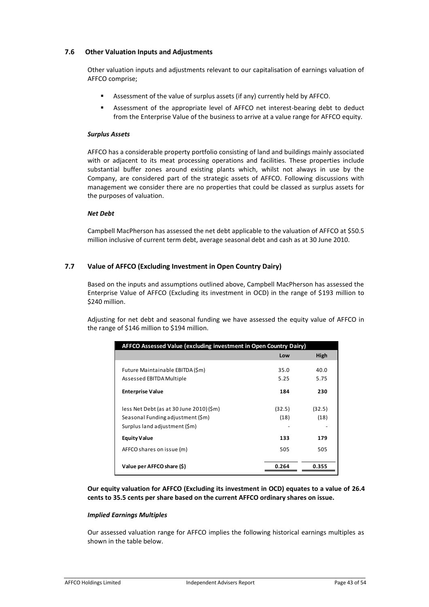# **7.6 Other Valuation Inputs and Adjustments**

Other valuation inputs and adjustments relevant to our capitalisation of earnings valuation of AFFCO comprise;

- ! Assessment of the value of surplus assets (if any) currently held by AFFCO.
- Assessment of the appropriate level of AFFCO net interest-bearing debt to deduct from the Enterprise Value of the business to arrive at a value range for AFFCO equity.

#### *Surplus Assets*

AFFCO has a considerable property portfolio consisting of land and buildings mainly associated with or adjacent to its meat processing operations and facilities. These properties include substantial buffer zones around existing plants which, whilst not always in use by the Company, are considered part of the strategic assets of AFFCO. Following discussions with management we consider there are no properties that could be classed as surplus assets for the purposes of valuation.

# *Net Debt*

Campbell MacPherson has assessed the net debt applicable to the valuation of AFFCO at \$50.5 million inclusive of current term debt, average seasonal debt and cash as at 30 June 2010.

# **7.7 Value of AFFCO (Excluding Investment in Open Country Dairy)**

Based on the inputs and assumptions outlined above, Campbell MacPherson has assessed the Enterprise Value of AFFCO (Excluding its investment in OCD) in the range of \$193 million to \$240 million.

Adjusting for net debt and seasonal funding we have assessed the equity value of AFFCO in the range of \$146 million to \$194 million.

| AFFCO Assessed Value (excluding investment in Open Country Dairy)                                            |                     |                     |  |  |
|--------------------------------------------------------------------------------------------------------------|---------------------|---------------------|--|--|
|                                                                                                              | Low                 | High                |  |  |
| Future Maintainable EBITDA (\$m)<br>Assessed EBITDA Multiple<br><b>Enterprise Value</b>                      | 35.0<br>5.25<br>184 | 40.0<br>5.75<br>230 |  |  |
| less Net Debt (as at 30 June 2010) (\$m)<br>Seasonal Funding adjustment (Sm)<br>Surplus land adjustment (Sm) | (32.5)<br>(18)      | (32.5)<br>(18)      |  |  |
| <b>Equity Value</b>                                                                                          | 133                 | 179                 |  |  |
| AFFCO shares on issue (m)                                                                                    | 505                 | 505                 |  |  |
| Value per AFFCO share (\$)                                                                                   | 0.264               | 0.355               |  |  |

**Our equity valuation for AFFCO (Excluding its investment in OCD) equates to a value of 26.4 cents to 35.5 cents per share based on the current AFFCO ordinary shares on issue.** 

# *Implied Earnings Multiples*

Our assessed valuation range for AFFCO implies the following historical earnings multiples as shown in the table below.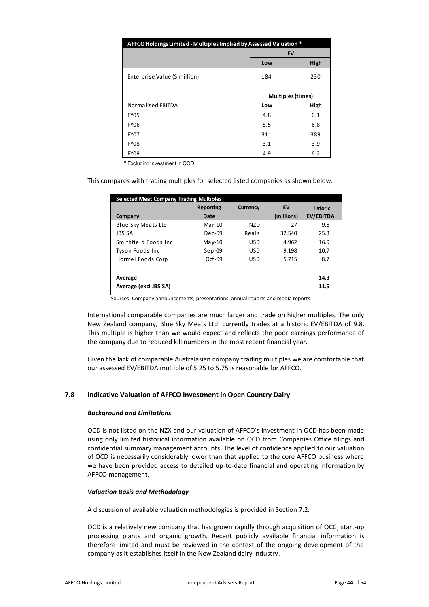| AFFCO Holdings Limited - Multiples Implied by Assessed Valuation * |     |                   |  |
|--------------------------------------------------------------------|-----|-------------------|--|
|                                                                    |     | EV                |  |
|                                                                    | Low | High              |  |
| Enterprise Value (\$ million)                                      | 184 | 230               |  |
|                                                                    |     | Multiples (times) |  |
| Normalised EBITDA                                                  | Low | High              |  |
| <b>FY05</b>                                                        | 4.8 | 6.1               |  |
| <b>FY06</b>                                                        | 5.5 | 6.8               |  |
| <b>FY07</b>                                                        | 311 | 389               |  |
| <b>FY08</b>                                                        | 3.1 | 3.9               |  |
| <b>FY09</b>                                                        | 4.9 | 6.2               |  |

\* Excluding investment in OCD.

This compares with trading multiples for selected listed companies as shown below.

| <b>Selected Meat Company Trading Multiples</b> |                  |                 |            |                  |
|------------------------------------------------|------------------|-----------------|------------|------------------|
|                                                | <b>Reporting</b> | <b>Currency</b> | EV         | <b>Historic</b>  |
| Company                                        | Date             |                 | (millions) | <b>EV/EBITDA</b> |
| Blue Sky Meats Ltd                             | $Mar-10$         | N7D             | 27         | 9.8              |
| <b>JBS SA</b>                                  | $Dec-09$         | Reals           | 32.540     | 25.3             |
| Smithfield Foods Inc.                          | May-10           | <b>USD</b>      | 4,962      | 16.9             |
| Tyson Foods Inc                                | $Sep-09$         | <b>USD</b>      | 9.198      | 10.7             |
| Hormel Foods Corp                              | $Oct-09$         | <b>USD</b>      | 5,715      | 8.7              |
| Average<br>Average (excl JBS SA)               |                  |                 |            | 14.3<br>11.5     |

Sources: Company announcements, presentations, annual reports and media reports.

International comparable companies are much larger and trade on higher multiples. The only New Zealand company, Blue Sky Meats Ltd, currently trades at a historic EV/EBITDA of 9.8. This multiple is higher than we would expect and reflects the poor earnings performance of the company due to reduced kill numbers in the most recent financial year.

Given the lack of comparable Australasian company trading multiples we are comfortable that our assessed EV/EBITDA multiple of 5.25 to 5.75 is reasonable for AFFCO.

# **7.8 Indicative Valuation of AFFCO Investment in Open Country Dairy**

#### *Background and Limitations*

OCD is not listed on the NZX and our valuation of AFFCO's investment in OCD has been made using only limited historical information available on OCD from Companies Office filings and confidential summary management accounts. The level of confidence applied to our valuation of OCD is necessarily considerably lower than that applied to the core AFFCO business where we have been provided access to detailed up-to-date financial and operating information by AFFCO management.

# *Valuation Basis and Methodology*

A discussion of available valuation methodologies is provided in Section 7.2.

OCD is a relatively new company that has grown rapidly through acquisition of OCC, start-up processing plants and organic growth. Recent publicly available financial information is therefore limited and must be reviewed in the context of the ongoing development of the company as it establishes itself in the New Zealand dairy industry.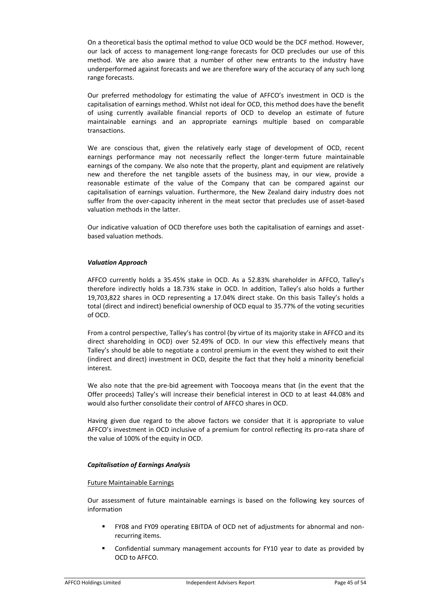On a theoretical basis the optimal method to value OCD would be the DCF method. However, our lack of access to management long-range forecasts for OCD precludes our use of this method. We are also aware that a number of other new entrants to the industry have underperformed against forecasts and we are therefore wary of the accuracy of any such long range forecasts.

Our preferred methodology for estimating the value of AFFCO's investment in OCD is the capitalisation of earnings method. Whilst not ideal for OCD, this method does have the benefit of using currently available financial reports of OCD to develop an estimate of future maintainable earnings and an appropriate earnings multiple based on comparable transactions.

We are conscious that, given the relatively early stage of development of OCD, recent earnings performance may not necessarily reflect the longer-term future maintainable earnings of the company. We also note that the property, plant and equipment are relatively new and therefore the net tangible assets of the business may, in our view, provide a reasonable estimate of the value of the Company that can be compared against our capitalisation of earnings valuation. Furthermore, the New Zealand dairy industry does not suffer from the over-capacity inherent in the meat sector that precludes use of asset-based valuation methods in the latter.

Our indicative valuation of OCD therefore uses both the capitalisation of earnings and assetbased valuation methods.

# *Valuation Approach*

AFFCO currently holds a 35.45% stake in OCD. As a 52.83% shareholder in AFFCO, Talley's therefore indirectly holds a 18.73% stake in OCD. In addition, Talley's also holds a further 19,703,822 shares in OCD representing a 17.04% direct stake. On this basis Talley's holds a total (direct and indirect) beneficial ownership of OCD equal to 35.77% of the voting securities of OCD.

From a control perspective, Talley's has control (by virtue of its majority stake in AFFCO and its direct shareholding in OCD) over 52.49% of OCD. In our view this effectively means that Talley's should be able to negotiate a control premium in the event they wished to exit their (indirect and direct) investment in OCD, despite the fact that they hold a minority beneficial interest.

We also note that the pre-bid agreement with Toocooya means that (in the event that the Offer proceeds) Talley's will increase their beneficial interest in OCD to at least 44.08% and would also further consolidate their control of AFFCO shares in OCD.

Having given due regard to the above factors we consider that it is appropriate to value AFFCO's investment in OCD inclusive of a premium for control reflecting its pro-rata share of the value of 100% of the equity in OCD.

# *Capitalisation of Earnings Analysis*

#### Future Maintainable Earnings

Our assessment of future maintainable earnings is based on the following key sources of information

- ! FY08 and FY09 operating EBITDA of OCD net of adjustments for abnormal and nonrecurring items.
- ! Confidential summary management accounts for FY10 year to date as provided by OCD to AFFCO.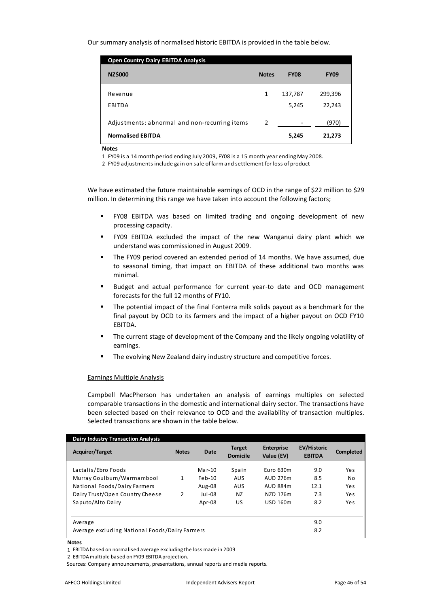Our summary analysis of normalised historic EBITDA is provided in the table below.

| <b>Open Country Dairy EBITDA Analysis</b>                                 |              |                  |                   |
|---------------------------------------------------------------------------|--------------|------------------|-------------------|
| <b>NZ\$000</b>                                                            | <b>Notes</b> | <b>FY08</b>      | <b>FY09</b>       |
| Revenue<br>EBITDA                                                         | 1            | 137,787<br>5,245 | 299,396<br>22,243 |
| Adjustments: abnormal and non-recurring items<br><b>Normalised EBITDA</b> | 2            | 5,245            | (970)<br>21,273   |

**Notes**

1 FY09 is a 14 month period ending July 2009, FY08 is a 15 month year ending May 2008.

2 FY09 adjustments include gain on sale of farm and settlement for loss of product

We have estimated the future maintainable earnings of OCD in the range of \$22 million to \$29 million. In determining this range we have taken into account the following factors;

- ! FY08 EBITDA was based on limited trading and ongoing development of new processing capacity.
- ! FY09 EBITDA excluded the impact of the new Wanganui dairy plant which we understand was commissioned in August 2009.
- ! The FY09 period covered an extended period of 14 months. We have assumed, due to seasonal timing, that impact on EBITDA of these additional two months was minimal.
- ! Budget and actual performance for current year-to date and OCD management forecasts for the full 12 months of FY10.
- The potential impact of the final Fonterra milk solids payout as a benchmark for the final payout by OCD to its farmers and the impact of a higher payout on OCD FY10 EBITDA.
- The current stage of development of the Company and the likely ongoing volatility of earnings.
- **"** The evolving New Zealand dairy industry structure and competitive forces.

# Earnings Multiple Analysis

Campbell MacPherson has undertaken an analysis of earnings multiples on selected comparable transactions in the domestic and international dairy sector. The transactions have been selected based on their relevance to OCD and the availability of transaction multiples. Selected transactions are shown in the table below.

| <b>Dairy Industry Transaction Analysis</b><br><b>Acquirer/Target</b> | <b>Notes</b> | Date     | <b>Target</b><br><b>Domicile</b> | <b>Enterprise</b><br>Value (EV) | <b>EV/Historic</b><br><b>EBITDA</b> | <b>Completed</b> |
|----------------------------------------------------------------------|--------------|----------|----------------------------------|---------------------------------|-------------------------------------|------------------|
| Lactalis/Ebro Foods                                                  |              | Mar-10   | Spain                            | Euro 630m                       | 9.0                                 | Yes              |
| Murray Goulburn/Warrnambool                                          | 1            | $Feb-10$ | <b>AUS</b>                       | AUD 276m                        | 8.5                                 | No.              |
| National Foods/Dairy Farmers                                         |              | Aug-08   | <b>AUS</b>                       | AUD 884m                        | 12.1                                | Yes              |
| Dairy Trust/Open Country Cheese                                      | 2            | $Jul-08$ | N <sub>Z</sub>                   | NZD 176m                        | 7.3                                 | Yes              |
| Saputo/Alto Dairy                                                    |              | Apr-08   | US                               | <b>USD 160m</b>                 | 8.2                                 | Yes              |
| Average                                                              |              |          |                                  |                                 | 9.0                                 |                  |
| Average excluding National Foods/Dairy Farmers                       |              |          |                                  |                                 | 8.2                                 |                  |

#### **Notes**

1 EBITDA based on normalised average excluding the loss made in 2009

<sup>2</sup> EBITDA multiple based on FY09 EBITDA projection.

Sources: Company announcements, presentations, annual reports and media reports.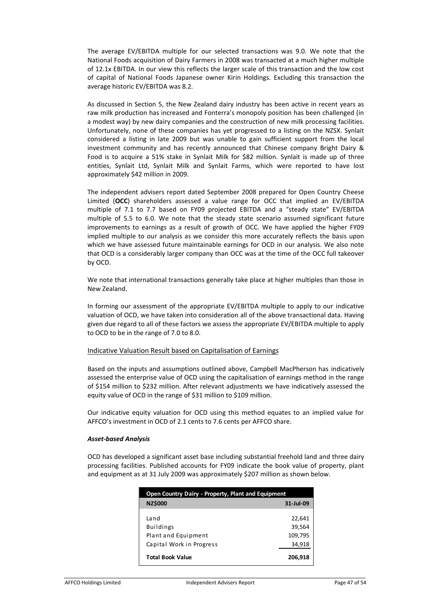The average EV/EBITDA multiple for our selected transactions was 9.0. We note that the National Foods acquisition of Dairy Farmers in 2008 was transacted at a much higher multiple of 12.1x EBITDA. In our view this reflects the larger scale of this transaction and the low cost of capital of National Foods Japanese owner Kirin Holdings. Excluding this transaction the average historic EV/EBITDA was 8.2.

As discussed in Section 5, the New Zealand dairy industry has been active in recent years as raw milk production has increased and Fonterra's monopoly position has been challenged (in a modest way) by new dairy companies and the construction of new milk processing facilities. Unfortunately, none of these companies has yet progressed to a listing on the NZSX. Synlait considered a listing in late 2009 but was unable to gain sufficient support from the local investment community and has recently announced that Chinese company Bright Dairy & Food is to acquire a 51% stake in Synlait Milk for \$82 million. Synlait is made up of three entities, Synlait Ltd, Synlait Milk and Synlait Farms, which were reported to have lost approximately \$42 million in 2009.

The independent advisers report dated September 2008 prepared for Open Country Cheese Limited (**OCC**) shareholders assessed a value range for OCC that implied an EV/EBITDA multiple of 7.1 to 7.7 based on FY09 projected EBITDA and a "steady state" EV/EBITDA multiple of 5.5 to 6.0. We note that the steady state scenario assumed significant future improvements to earnings as a result of growth of OCC. We have applied the higher FY09 implied multiple to our analysis as we consider this more accurately reflects the basis upon which we have assessed future maintainable earnings for OCD in our analysis. We also note that OCD is a considerably larger company than OCC was at the time of the OCC full takeover by OCD.

We note that international transactions generally take place at higher multiples than those in New Zealand.

In forming our assessment of the appropriate EV/EBITDA multiple to apply to our indicative valuation of OCD, we have taken into consideration all of the above transactional data. Having given due regard to all of these factors we assess the appropriate EV/EBITDA multiple to apply to OCD to be in the range of 7.0 to 8.0.

# Indicative Valuation Result based on Capitalisation of Earnings

Based on the inputs and assumptions outlined above, Campbell MacPherson has indicatively assessed the enterprise value of OCD using the capitalisation of earnings method in the range of \$154 million to \$232 million. After relevant adjustments we have indicatively assessed the equity value of OCD in the range of \$31 million to \$109 million.

Our indicative equity valuation for OCD using this method equates to an implied value for AFFCO's investment in OCD of 2.1 cents to 7.6 cents per AFFCO share.

#### *Asset-based Analysis*

OCD has developed a significant asset base including substantial freehold land and three dairy processing facilities. Published accounts for FY09 indicate the book value of property, plant and equipment as at 31 July 2009 was approximately \$207 million as shown below.

| Open Country Dairy - Property, Plant and Equipment                          |                                       |  |
|-----------------------------------------------------------------------------|---------------------------------------|--|
| <b>NZ\$000</b>                                                              | 31-Jul-09                             |  |
| Land<br><b>Buildings</b><br>Plant and Equipment<br>Capital Work in Progress | 22,641<br>39,564<br>109,795<br>34,918 |  |
| <b>Total Book Value</b>                                                     | 206.918                               |  |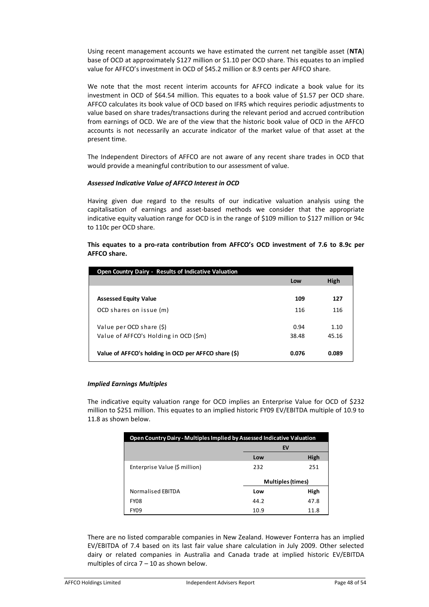Using recent management accounts we have estimated the current net tangible asset (**NTA**) base of OCD at approximately \$127 million or \$1.10 per OCD share. This equates to an implied value for AFFCO's investment in OCD of \$45.2 million or 8.9 cents per AFFCO share.

We note that the most recent interim accounts for AFFCO indicate a book value for its investment in OCD of \$64.54 million. This equates to a book value of \$1.57 per OCD share. AFFCO calculates its book value of OCD based on IFRS which requires periodic adjustments to value based on share trades/transactions during the relevant period and accrued contribution from earnings of OCD. We are of the view that the historic book value of OCD in the AFFCO accounts is not necessarily an accurate indicator of the market value of that asset at the present time.

The Independent Directors of AFFCO are not aware of any recent share trades in OCD that would provide a meaningful contribution to our assessment of value.

# *Assessed Indicative Value of AFFCO Interest in OCD*

Having given due regard to the results of our indicative valuation analysis using the capitalisation of earnings and asset-based methods we consider that the appropriate indicative equity valuation range for OCD is in the range of \$109 million to \$127 million or 94c to 110c per OCD share.

# **This equates to a pro-rata contribution from AFFCO's OCD investment of 7.6 to 8.9c per AFFCO share.**

| Open Country Dairy - Results of Indicative Valuation |       |       |
|------------------------------------------------------|-------|-------|
|                                                      | Low   | High  |
|                                                      |       |       |
| <b>Assessed Equity Value</b>                         | 109   | 127   |
| OCD shares on issue (m)                              | 116   | 116   |
| Value per OCD share (\$)                             | 0.94  | 1.10  |
| Value of AFFCO's Holding in OCD (\$m)                | 38.48 | 45.16 |
| Value of AFFCO's holding in OCD per AFFCO share (\$) | 0.076 | 0.089 |

#### *Implied Earnings Multiples*

The indicative equity valuation range for OCD implies an Enterprise Value for OCD of \$232 million to \$251 million. This equates to an implied historic FY09 EV/EBITDA multiple of 10.9 to 11.8 as shown below.

| Open Country Dairy - Multiples Implied by Assessed Indicative Valuation |                          |      |  |
|-------------------------------------------------------------------------|--------------------------|------|--|
|                                                                         | EV                       |      |  |
|                                                                         | Low                      | High |  |
| Enterprise Value (\$ million)                                           | 232                      | 251  |  |
|                                                                         | <b>Multiples (times)</b> |      |  |
| Normalised EBITDA                                                       | Low                      | High |  |
| <b>FY08</b>                                                             | 44.2                     | 47.8 |  |
| <b>FY09</b>                                                             | 10.9                     | 11.8 |  |

There are no listed comparable companies in New Zealand. However Fonterra has an implied EV/EBITDA of 7.4 based on its last fair value share calculation in July 2009. Other selected dairy or related companies in Australia and Canada trade at implied historic EV/EBITDA multiples of circa  $7 - 10$  as shown below.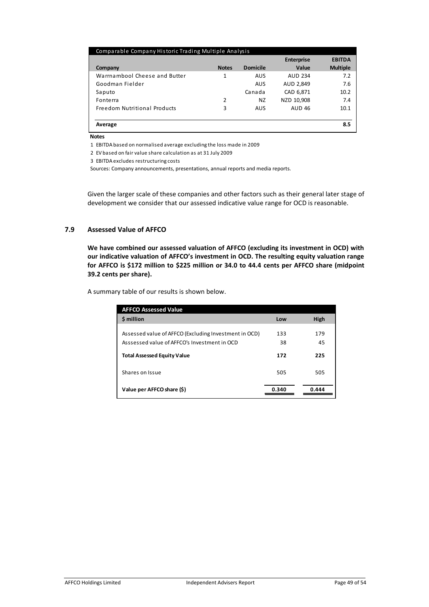| Comparable Company Historic Trading Multiple Analysis |              |                 |                   |                 |
|-------------------------------------------------------|--------------|-----------------|-------------------|-----------------|
|                                                       |              |                 | <b>Enterprise</b> | <b>EBITDA</b>   |
| Company                                               | <b>Notes</b> | <b>Domicile</b> | Value             | <b>Multiple</b> |
| Warrnambool Cheese and Butter                         | 1            | AUS             | AUD 234           | 7.2             |
| Goodman Fielder                                       |              | <b>AUS</b>      | AUD 2,849         | 7.6             |
| Saputo                                                |              | Canada          | CAD 6,871         | 10.2            |
| Fonterra                                              | 2            | ΝZ              | NZD 10,908        | 7.4             |
| Freedom Nutritional Products                          | 3            | AUS             | <b>AUD 46</b>     | 10.1            |
|                                                       |              |                 |                   |                 |
| Average                                               |              |                 |                   | 8.5             |

**Notes**

1 EBITDA based on normalised average excluding the loss made in 2009

2 EV based on fair value share calculation as at 31 July 2009

3 EBITDA excludes restructuring costs

Sources: Company announcements, presentations, annual reports and media reports.

Given the larger scale of these companies and other factors such as their general later stage of development we consider that our assessed indicative value range for OCD is reasonable.

# **7.9 Assessed Value of AFFCO**

**We have combined our assessed valuation of AFFCO (excluding its investment in OCD) with our indicative valuation of AFFCO's investment in OCD. The resulting equity valuation range for AFFCO is \$172 million to \$225 million or 34.0 to 44.4 cents per AFFCO share (midpoint 39.2 cents per share).** 

A summary table of our results is shown below.

| <b>AFFCO Assessed Value</b>                                                                           |           |           |
|-------------------------------------------------------------------------------------------------------|-----------|-----------|
| \$ million                                                                                            | Low       | High      |
| Assessed value of AFFCO (Excluding Investment in OCD)<br>Asssessed value of AFFCO's Investment in OCD | 133<br>38 | 179<br>45 |
| <b>Total Assessed Equity Value</b>                                                                    | 172       | 225       |
| Shares on Issue                                                                                       | 505       | 505       |
| Value per AFFCO share (\$)                                                                            | 0.340     | 0.444     |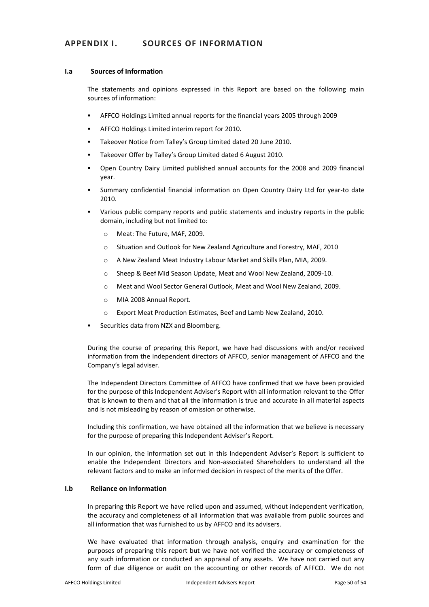# **I.a Sources of Information**

The statements and opinions expressed in this Report are based on the following main sources of information:

- ! AFFCO Holdings Limited annual reports for the financial years 2005 through 2009
- ! AFFCO Holdings Limited interim report for 2010.
- ! Takeover Notice from Talley's Group Limited dated 20 June 2010.
- ! Takeover Offer by Talley's Group Limited dated 6 August 2010.
- ! Open Country Dairy Limited published annual accounts for the 2008 and 2009 financial year.
- ! Summary confidential financial information on Open Country Dairy Ltd for year-to date 2010.
- ! Various public company reports and public statements and industry reports in the public domain, including but not limited to:
	- o Meat: The Future, MAF, 2009.
	- o Situation and Outlook for New Zealand Agriculture and Forestry, MAF, 2010
	- o A New Zealand Meat Industry Labour Market and Skills Plan, MIA, 2009.
	- o Sheep & Beef Mid Season Update, Meat and Wool New Zealand, 2009-10.
	- o Meat and Wool Sector General Outlook, Meat and Wool New Zealand, 2009.
	- o MIA 2008 Annual Report.
	- o Export Meat Production Estimates, Beef and Lamb New Zealand, 2010.
- Securities data from NZX and Bloomberg.

During the course of preparing this Report, we have had discussions with and/or received information from the independent directors of AFFCO, senior management of AFFCO and the Company's legal adviser.

The Independent Directors Committee of AFFCO have confirmed that we have been provided for the purpose of this Independent Adviser's Report with all information relevant to the Offer that is known to them and that all the information is true and accurate in all material aspects and is not misleading by reason of omission or otherwise.

Including this confirmation, we have obtained all the information that we believe is necessary for the purpose of preparing this Independent Adviser's Report.

In our opinion, the information set out in this Independent Adviser's Report is sufficient to enable the Independent Directors and Non-associated Shareholders to understand all the relevant factors and to make an informed decision in respect of the merits of the Offer.

# **I.b Reliance on Information**

In preparing this Report we have relied upon and assumed, without independent verification, the accuracy and completeness of all information that was available from public sources and all information that was furnished to us by AFFCO and its advisers.

We have evaluated that information through analysis, enquiry and examination for the purposes of preparing this report but we have not verified the accuracy or completeness of any such information or conducted an appraisal of any assets. We have not carried out any form of due diligence or audit on the accounting or other records of AFFCO. We do not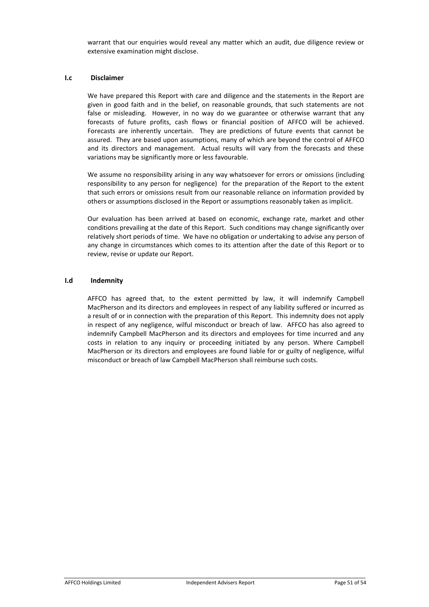warrant that our enquiries would reveal any matter which an audit, due diligence review or extensive examination might disclose.

#### **I.c Disclaimer**

We have prepared this Report with care and diligence and the statements in the Report are given in good faith and in the belief, on reasonable grounds, that such statements are not false or misleading. However, in no way do we guarantee or otherwise warrant that any forecasts of future profits, cash flows or financial position of AFFCO will be achieved. Forecasts are inherently uncertain. They are predictions of future events that cannot be assured. They are based upon assumptions, many of which are beyond the control of AFFCO and its directors and management. Actual results will vary from the forecasts and these variations may be significantly more or less favourable.

We assume no responsibility arising in any way whatsoever for errors or omissions (including responsibility to any person for negligence) for the preparation of the Report to the extent that such errors or omissions result from our reasonable reliance on information provided by others or assumptions disclosed in the Report or assumptions reasonably taken as implicit.

Our evaluation has been arrived at based on economic, exchange rate, market and other conditions prevailing at the date of this Report. Such conditions may change significantly over relatively short periods of time. We have no obligation or undertaking to advise any person of any change in circumstances which comes to its attention after the date of this Report or to review, revise or update our Report.

#### **I.d Indemnity**

AFFCO has agreed that, to the extent permitted by law, it will indemnify Campbell MacPherson and its directors and employees in respect of any liability suffered or incurred as a result of or in connection with the preparation of this Report. This indemnity does not apply in respect of any negligence, wilful misconduct or breach of law. AFFCO has also agreed to indemnify Campbell MacPherson and its directors and employees for time incurred and any costs in relation to any inquiry or proceeding initiated by any person. Where Campbell MacPherson or its directors and employees are found liable for or guilty of negligence, wilful misconduct or breach of law Campbell MacPherson shall reimburse such costs.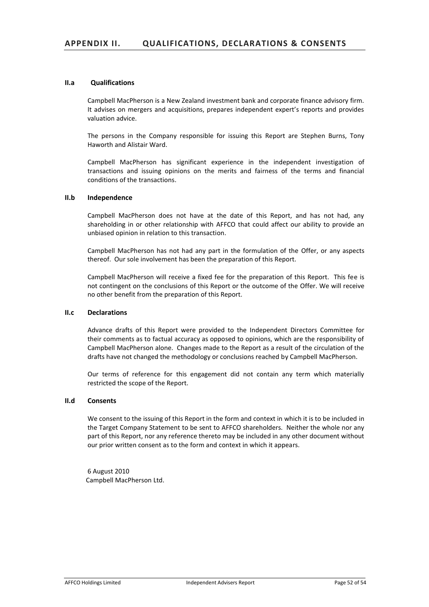#### **II.a Qualifications**

Campbell MacPherson is a New Zealand investment bank and corporate finance advisory firm. It advises on mergers and acquisitions, prepares independent expert's reports and provides valuation advice.

The persons in the Company responsible for issuing this Report are Stephen Burns, Tony Haworth and Alistair Ward.

Campbell MacPherson has significant experience in the independent investigation of transactions and issuing opinions on the merits and fairness of the terms and financial conditions of the transactions.

#### **II.b Independence**

Campbell MacPherson does not have at the date of this Report, and has not had, any shareholding in or other relationship with AFFCO that could affect our ability to provide an unbiased opinion in relation to this transaction.

Campbell MacPherson has not had any part in the formulation of the Offer, or any aspects thereof. Our sole involvement has been the preparation of this Report.

Campbell MacPherson will receive a fixed fee for the preparation of this Report. This fee is not contingent on the conclusions of this Report or the outcome of the Offer. We will receive no other benefit from the preparation of this Report.

# **II.c Declarations**

Advance drafts of this Report were provided to the Independent Directors Committee for their comments as to factual accuracy as opposed to opinions, which are the responsibility of Campbell MacPherson alone. Changes made to the Report as a result of the circulation of the drafts have not changed the methodology or conclusions reached by Campbell MacPherson.

Our terms of reference for this engagement did not contain any term which materially restricted the scope of the Report.

#### **II.d Consents**

We consent to the issuing of this Report in the form and context in which it is to be included in the Target Company Statement to be sent to AFFCO shareholders. Neither the whole nor any part of this Report, nor any reference thereto may be included in any other document without our prior written consent as to the form and context in which it appears.

6 August 2010 Campbell MacPherson Ltd.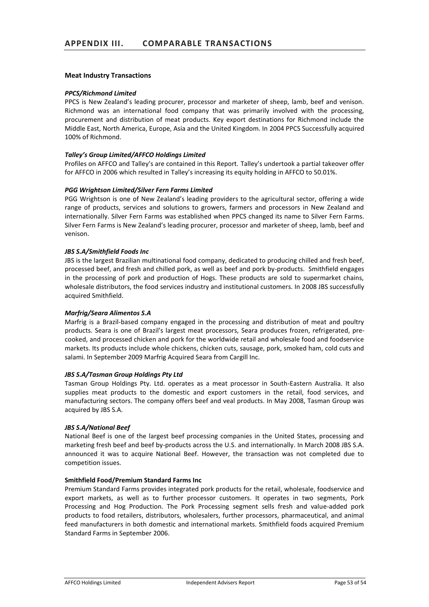#### **Meat Industry Transactions**

#### *PPCS/Richmond Limited*

PPCS is New Zealand's leading procurer, processor and marketer of sheep, lamb, beef and venison. Richmond was an international food company that was primarily involved with the processing, procurement and distribution of meat products. Key export destinations for Richmond include the Middle East, North America, Europe, Asia and the United Kingdom. In 2004 PPCS Successfully acquired 100% of Richmond.

#### *Talley's Group Limited/AFFCO Holdings Limited*

Profiles on AFFCO and Talley's are contained in this Report. Talley's undertook a partial takeover offer for AFFCO in 2006 which resulted in Talley's increasing its equity holding in AFFCO to 50.01%.

#### *PGG Wrightson Limited/Silver Fern Farms Limited*

PGG Wrightson is one of New Zealand's leading providers to the agricultural sector, offering a wide range of products, services and solutions to growers, farmers and processors in New Zealand and internationally. Silver Fern Farms was established when PPCS changed its name to Silver Fern Farms. Silver Fern Farms is New Zealand's leading procurer, processor and marketer of sheep, lamb, beef and venison.

#### *JBS S.A/Smithfield Foods Inc*

JBS is the largest Brazilian multinational food company, dedicated to producing chilled and fresh beef, processed beef, and fresh and chilled pork, as well as beef and pork by-products. Smithfield engages in the processing of pork and production of Hogs. These products are sold to supermarket chains, wholesale distributors, the food services industry and institutional customers. In 2008 JBS successfully acquired Smithfield.

#### *Marfrig/Seara Alimentos S.A*

Marfrig is a Brazil-based company engaged in the processing and distribution of meat and poultry products. Seara is one of Brazil's largest meat processors, Seara produces frozen, refrigerated, precooked, and processed chicken and pork for the worldwide retail and wholesale food and foodservice markets. Its products include whole chickens, chicken cuts, sausage, pork, smoked ham, cold cuts and salami. In September 2009 Marfrig Acquired Seara from Cargill Inc.

#### *JBS S.A/Tasman Group Holdings Pty Ltd*

Tasman Group Holdings Pty. Ltd. operates as a meat processor in South-Eastern Australia. It also supplies meat products to the domestic and export customers in the retail, food services, and manufacturing sectors. The company offers beef and veal products. In May 2008, Tasman Group was acquired by JBS S.A.

# *JBS S.A/National Beef*

National Beef is one of the largest beef processing companies in the United States, processing and marketing fresh beef and beef by-products across the U.S. and internationally. In March 2008 JBS S.A. announced it was to acquire National Beef. However, the transaction was not completed due to competition issues.

#### **Smithfield Food/Premium Standard Farms Inc**

Premium Standard Farms provides integrated pork products for the retail, wholesale, foodservice and export markets, as well as to further processor customers. It operates in two segments, Pork Processing and Hog Production. The Pork Processing segment sells fresh and value-added pork products to food retailers, distributors, wholesalers, further processors, pharmaceutical, and animal feed manufacturers in both domestic and international markets. Smithfield foods acquired Premium Standard Farms in September 2006.